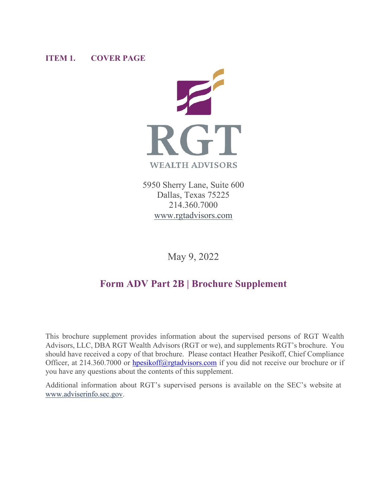## **ITEM 1. COVER PAGE**



5950 Sherry Lane, Suite 600 Dallas, Texas 75225 214.360.7000 [www.rgtadvisors.com](http://www.rgtwealthadvisors.com/)

May 9, 2022

# **Form ADV Part 2B | Brochure Supplement**

This brochure supplement provides information about the supervised persons of RGT Wealth Advisors, LLC, DBA RGT Wealth Advisors (RGT or we), and supplements RGT's brochure. You should have received a copy of that brochure. Please contact Heather Pesikoff, Chief Compliance Officer, at 214.360.7000 or [hpesikoff@rgtadvisors.com](mailto:hpesikoff@rgtadvisors.com) if you did not receive our brochure or if you have any questions about the contents of this supplement.

Additional information about RGT's supervised persons is available on the SEC's website at [www.adviserinfo.sec.gov.](http://www.adviserinfo.sec.gov/)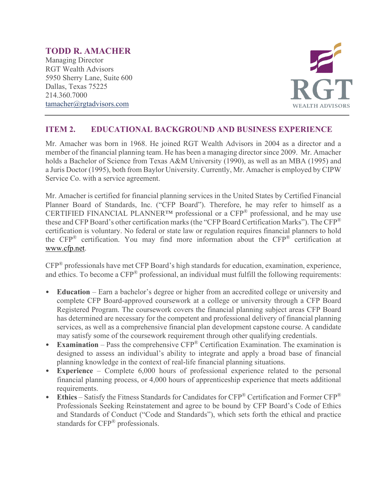## **TODD R. AMACHER**

Managing Director RGT Wealth Advisors 5950 Sherry Lane, Suite 600 Dallas, Texas 75225 214.360.7000 [tamacher@rgtadvisors.com](mailto:tamacher@rgtnet.com)



## **ITEM 2. EDUCATIONAL BACKGROUND AND BUSINESS EXPERIENCE**

Mr. Amacher was born in 1968. He joined RGT Wealth Advisors in 2004 as a director and a member of the financial planning team. He has been a managing director since 2009. Mr. Amacher holds a Bachelor of Science from Texas A&M University (1990), as well as an MBA (1995) and a Juris Doctor (1995), both from Baylor University. Currently, Mr. Amacher is employed by CIPW Service Co. with a service agreement.

Mr. Amacher is certified for financial planning services in the United States by Certified Financial Planner Board of Standards, Inc. ("CFP Board"). Therefore, he may refer to himself as a CERTIFIED FINANCIAL PLANNER™ professional or a CFP® professional, and he may use these and CFP Board's other certification marks (the "CFP Board Certification Marks"). The CFP® certification is voluntary. No federal or state law or regulation requires financial planners to hold the CFP® certification. You may find more information about the CFP® certification at [www.cfp.net.](https://protect-us.mimecast.com/s/1HBOCqxoRqf1V6k3tXIH3k?domain=nam04.safelinks.protection.outlook.com)

CFP® professionals have met CFP Board's high standards for education, examination, experience, and ethics. To become a CFP® professional, an individual must fulfill the following requirements:

- **Education** Earn a bachelor's degree or higher from an accredited college or university and complete CFP Board-approved coursework at a college or university through a CFP Board Registered Program. The coursework covers the financial planning subject areas CFP Board has determined are necessary for the competent and professional delivery of financial planning services, as well as a comprehensive financial plan development capstone course. A candidate may satisfy some of the coursework requirement through other qualifying credentials.
- **Examination** Pass the comprehensive CFP® Certification Examination. The examination is designed to assess an individual's ability to integrate and apply a broad base of financial planning knowledge in the context of real-life financial planning situations.
- **Experience**  Complete 6,000 hours of professional experience related to the personal financial planning process, or 4,000 hours of apprenticeship experience that meets additional requirements.
- **Ethics** Satisfy the Fitness Standards for Candidates for CFP® Certification and Former CFP® Professionals Seeking Reinstatement and agree to be bound by CFP Board's Code of Ethics and Standards of Conduct ("Code and Standards"), which sets forth the ethical and practice standards for CFP® professionals.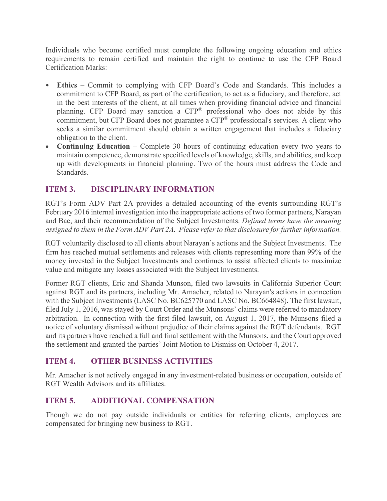Individuals who become certified must complete the following ongoing education and ethics requirements to remain certified and maintain the right to continue to use the CFP Board Certification Marks:

- **Ethics** Commit to complying with CFP Board's Code and Standards. This includes a commitment to CFP Board, as part of the certification, to act as a fiduciary, and therefore, act in the best interests of the client, at all times when providing financial advice and financial planning. CFP Board may sanction a CFP® professional who does not abide by this commitment, but CFP Board does not guarantee a CFP<sup>®</sup> professional's services. A client who seeks a similar commitment should obtain a written engagement that includes a fiduciary obligation to the client.
- **Continuing Education** Complete 30 hours of continuing education every two years to maintain competence, demonstrate specified levels of knowledge, skills, and abilities, and keep up with developments in financial planning. Two of the hours must address the Code and Standards.

# **ITEM 3. DISCIPLINARY INFORMATION**

RGT's Form ADV Part 2A provides a detailed accounting of the events surrounding RGT's February 2016 internal investigation into the inappropriate actions of two former partners, Narayan and Bae, and their recommendation of the Subject Investments. *Defined terms have the meaning assigned to them in the Form ADV Part 2A. Please refer to that disclosure for further information.*

RGT voluntarily disclosed to all clients about Narayan's actions and the Subject Investments. The firm has reached mutual settlements and releases with clients representing more than 99% of the money invested in the Subject Investments and continues to assist affected clients to maximize value and mitigate any losses associated with the Subject Investments.

Former RGT clients, Eric and Shanda Munson, filed two lawsuits in California Superior Court against RGT and its partners, including Mr. Amacher, related to Narayan's actions in connection with the Subject Investments (LASC No. BC625770 and LASC No. BC664848). The first lawsuit, filed July 1, 2016, was stayed by Court Order and the Munsons' claims were referred to mandatory arbitration. In connection with the first-filed lawsuit, on August 1, 2017, the Munsons filed a notice of voluntary dismissal without prejudice of their claims against the RGT defendants. RGT and its partners have reached a full and final settlement with the Munsons, and the Court approved the settlement and granted the parties' Joint Motion to Dismiss on October 4, 2017.

## **ITEM 4. OTHER BUSINESS ACTIVITIES**

Mr. Amacher is not actively engaged in any investment-related business or occupation, outside of RGT Wealth Advisors and its affiliates.

## **ITEM 5. ADDITIONAL COMPENSATION**

Though we do not pay outside individuals or entities for referring clients, employees are compensated for bringing new business to RGT.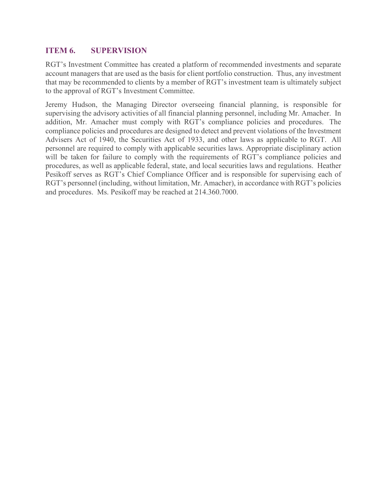## **ITEM 6. SUPERVISION**

RGT's Investment Committee has created a platform of recommended investments and separate account managers that are used as the basis for client portfolio construction. Thus, any investment that may be recommended to clients by a member of RGT's investment team is ultimately subject to the approval of RGT's Investment Committee.

Jeremy Hudson, the Managing Director overseeing financial planning, is responsible for supervising the advisory activities of all financial planning personnel, including Mr. Amacher. In addition, Mr. Amacher must comply with RGT's compliance policies and procedures. The compliance policies and procedures are designed to detect and prevent violations of the Investment Advisers Act of 1940, the Securities Act of 1933, and other laws as applicable to RGT. All personnel are required to comply with applicable securities laws. Appropriate disciplinary action will be taken for failure to comply with the requirements of RGT's compliance policies and procedures, as well as applicable federal, state, and local securities laws and regulations. Heather Pesikoff serves as RGT's Chief Compliance Officer and is responsible for supervising each of RGT's personnel (including, without limitation, Mr. Amacher), in accordance with RGT's policies and procedures. Ms. Pesikoff may be reached at 214.360.7000.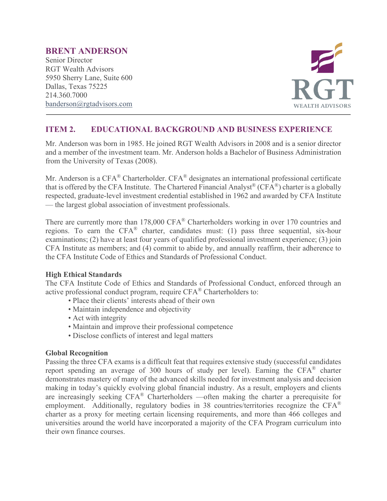#### **BRENT ANDERSON**

Senior Director RGT Wealth Advisors 5950 Sherry Lane, Suite 600 Dallas, Texas 75225 214.360.7000 [banderson@rgtadvisors.com](mailto:bcole@rgtnet.com)



## **ITEM 2. EDUCATIONAL BACKGROUND AND BUSINESS EXPERIENCE**

Mr. Anderson was born in 1985. He joined RGT Wealth Advisors in 2008 and is a senior director and a member of the investment team. Mr. Anderson holds a Bachelor of Business Administration from the University of Texas (2008).

Mr. Anderson is a CFA<sup>®</sup> Charterholder. CFA<sup>®</sup> designates an international professional certificate that is offered by the CFA Institute. The Chartered Financial Analyst<sup>®</sup> (CFA<sup>®</sup>) charter is a globally respected, graduate-level investment credential established in 1962 and awarded by CFA Institute — the largest global association of investment professionals.

There are currently more than 178,000 CFA<sup>®</sup> Charterholders working in over 170 countries and regions. To earn the CFA® charter, candidates must: (1) pass three sequential, six-hour examinations; (2) have at least four years of qualified professional investment experience; (3) join CFA Institute as members; and (4) commit to abide by, and annually reaffirm, their adherence to the CFA Institute Code of Ethics and Standards of Professional Conduct.

#### **High Ethical Standards**

The CFA Institute Code of Ethics and Standards of Professional Conduct, enforced through an active professional conduct program, require CFA® Charterholders to:

- Place their clients' interests ahead of their own
- Maintain independence and objectivity
- Act with integrity
- Maintain and improve their professional competence
- Disclose conflicts of interest and legal matters

#### **Global Recognition**

Passing the three CFA exams is a difficult feat that requires extensive study (successful candidates report spending an average of 300 hours of study per level). Earning the CFA® charter demonstrates mastery of many of the advanced skills needed for investment analysis and decision making in today's quickly evolving global financial industry. As a result, employers and clients are increasingly seeking  $CFA^{\otimes}$  Charterholders —often making the charter a prerequisite for employment. Additionally, regulatory bodies in 38 countries/territories recognize the CFA® charter as a proxy for meeting certain licensing requirements, and more than 466 colleges and universities around the world have incorporated a majority of the CFA Program curriculum into their own finance courses.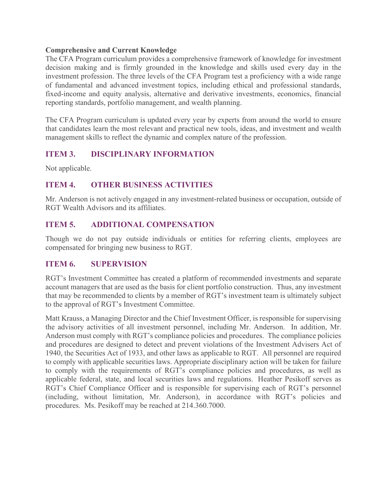#### **Comprehensive and Current Knowledge**

The CFA Program curriculum provides a comprehensive framework of knowledge for investment decision making and is firmly grounded in the knowledge and skills used every day in the investment profession. The three levels of the CFA Program test a proficiency with a wide range of fundamental and advanced investment topics, including ethical and professional standards, fixed-income and equity analysis, alternative and derivative investments, economics, financial reporting standards, portfolio management, and wealth planning.

The CFA Program curriculum is updated every year by experts from around the world to ensure that candidates learn the most relevant and practical new tools, ideas, and investment and wealth management skills to reflect the dynamic and complex nature of the profession.

## **ITEM 3. DISCIPLINARY INFORMATION**

Not applicable.

## **ITEM 4. OTHER BUSINESS ACTIVITIES**

Mr. Anderson is not actively engaged in any investment-related business or occupation, outside of RGT Wealth Advisors and its affiliates.

## **ITEM 5. ADDITIONAL COMPENSATION**

Though we do not pay outside individuals or entities for referring clients, employees are compensated for bringing new business to RGT.

#### **ITEM 6. SUPERVISION**

RGT's Investment Committee has created a platform of recommended investments and separate account managers that are used as the basis for client portfolio construction. Thus, any investment that may be recommended to clients by a member of RGT's investment team is ultimately subject to the approval of RGT's Investment Committee.

Matt Krauss, a Managing Director and the Chief Investment Officer, is responsible for supervising the advisory activities of all investment personnel, including Mr. Anderson. In addition, Mr. Anderson must comply with RGT's compliance policies and procedures. The compliance policies and procedures are designed to detect and prevent violations of the Investment Advisers Act of 1940, the Securities Act of 1933, and other laws as applicable to RGT. All personnel are required to comply with applicable securities laws. Appropriate disciplinary action will be taken for failure to comply with the requirements of RGT's compliance policies and procedures, as well as applicable federal, state, and local securities laws and regulations. Heather Pesikoff serves as RGT's Chief Compliance Officer and is responsible for supervising each of RGT's personnel (including, without limitation, Mr. Anderson), in accordance with RGT's policies and procedures. Ms. Pesikoff may be reached at 214.360.7000.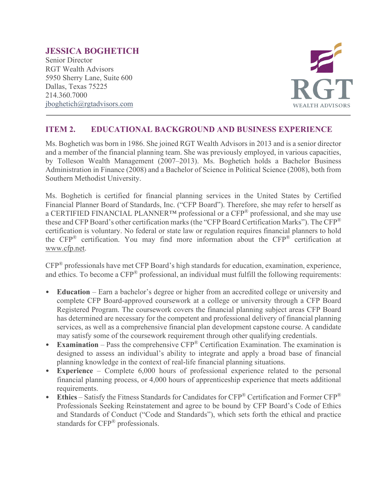## **JESSICA BOGHETICH**

Senior Director RGT Wealth Advisors 5950 Sherry Lane, Suite 600 Dallas, Texas 75225 214.360.7000 [jboghetich@rgtadvisors.com](mailto:bcole@rgtnet.com)



## **ITEM 2. EDUCATIONAL BACKGROUND AND BUSINESS EXPERIENCE**

Ms. Boghetich was born in 1986. She joined RGT Wealth Advisors in 2013 and is a senior director and a member of the financial planning team. She was previously employed, in various capacities, by Tolleson Wealth Management (2007–2013). Ms. Boghetich holds a Bachelor Business Administration in Finance (2008) and a Bachelor of Science in Political Science (2008), both from Southern Methodist University.

Ms. Boghetich is certified for financial planning services in the United States by Certified Financial Planner Board of Standards, Inc. ("CFP Board"). Therefore, she may refer to herself as a CERTIFIED FINANCIAL PLANNER™ professional or a CFP® professional, and she may use these and CFP Board's other certification marks (the "CFP Board Certification Marks"). The CFP® certification is voluntary. No federal or state law or regulation requires financial planners to hold the CFP® certification. You may find more information about the CFP® certification at [www.cfp.net.](https://protect-us.mimecast.com/s/1HBOCqxoRqf1V6k3tXIH3k?domain=nam04.safelinks.protection.outlook.com)

CFP® professionals have met CFP Board's high standards for education, examination, experience, and ethics. To become a CFP® professional, an individual must fulfill the following requirements:

- **Education** Earn a bachelor's degree or higher from an accredited college or university and complete CFP Board-approved coursework at a college or university through a CFP Board Registered Program. The coursework covers the financial planning subject areas CFP Board has determined are necessary for the competent and professional delivery of financial planning services, as well as a comprehensive financial plan development capstone course. A candidate may satisfy some of the coursework requirement through other qualifying credentials.
- **Examination** Pass the comprehensive CFP® Certification Examination. The examination is designed to assess an individual's ability to integrate and apply a broad base of financial planning knowledge in the context of real-life financial planning situations.
- **Experience**  Complete 6,000 hours of professional experience related to the personal financial planning process, or 4,000 hours of apprenticeship experience that meets additional requirements.
- **Ethics** Satisfy the Fitness Standards for Candidates for CFP® Certification and Former CFP® Professionals Seeking Reinstatement and agree to be bound by CFP Board's Code of Ethics and Standards of Conduct ("Code and Standards"), which sets forth the ethical and practice standards for CFP® professionals.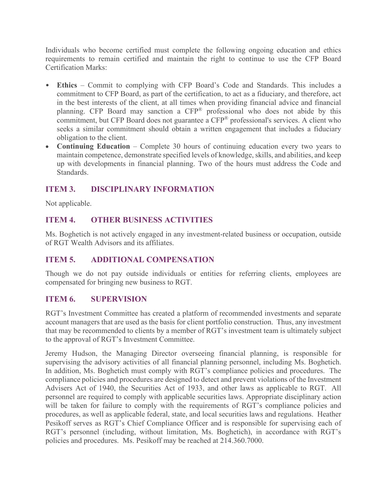Individuals who become certified must complete the following ongoing education and ethics requirements to remain certified and maintain the right to continue to use the CFP Board Certification Marks:

- **Ethics** Commit to complying with CFP Board's Code and Standards. This includes a commitment to CFP Board, as part of the certification, to act as a fiduciary, and therefore, act in the best interests of the client, at all times when providing financial advice and financial planning. CFP Board may sanction a CFP® professional who does not abide by this commitment, but CFP Board does not guarantee a CFP<sup>®</sup> professional's services. A client who seeks a similar commitment should obtain a written engagement that includes a fiduciary obligation to the client.
- **Continuing Education** Complete 30 hours of continuing education every two years to maintain competence, demonstrate specified levels of knowledge, skills, and abilities, and keep up with developments in financial planning. Two of the hours must address the Code and Standards.

# **ITEM 3. DISCIPLINARY INFORMATION**

Not applicable.

## **ITEM 4. OTHER BUSINESS ACTIVITIES**

Ms. Boghetich is not actively engaged in any investment-related business or occupation, outside of RGT Wealth Advisors and its affiliates.

## **ITEM 5. ADDITIONAL COMPENSATION**

Though we do not pay outside individuals or entities for referring clients, employees are compensated for bringing new business to RGT.

## **ITEM 6. SUPERVISION**

RGT's Investment Committee has created a platform of recommended investments and separate account managers that are used as the basis for client portfolio construction. Thus, any investment that may be recommended to clients by a member of RGT's investment team is ultimately subject to the approval of RGT's Investment Committee.

Jeremy Hudson, the Managing Director overseeing financial planning, is responsible for supervising the advisory activities of all financial planning personnel, including Ms. Boghetich. In addition, Ms. Boghetich must comply with RGT's compliance policies and procedures. The compliance policies and procedures are designed to detect and prevent violations of the Investment Advisers Act of 1940, the Securities Act of 1933, and other laws as applicable to RGT. All personnel are required to comply with applicable securities laws. Appropriate disciplinary action will be taken for failure to comply with the requirements of RGT's compliance policies and procedures, as well as applicable federal, state, and local securities laws and regulations. Heather Pesikoff serves as RGT's Chief Compliance Officer and is responsible for supervising each of RGT's personnel (including, without limitation, Ms. Boghetich), in accordance with RGT's policies and procedures. Ms. Pesikoff may be reached at 214.360.7000.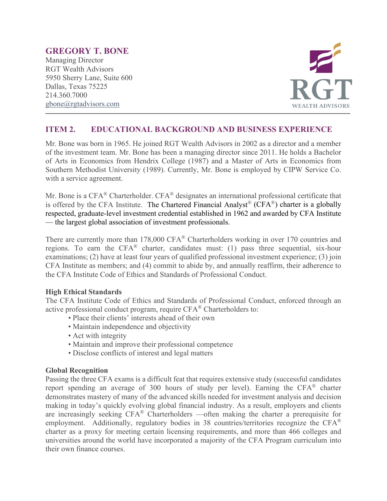## **GREGORY T. BONE**

Managing Director RGT Wealth Advisors 5950 Sherry Lane, Suite 600 Dallas, Texas 75225 214.360.7000 [gbone@rgtadvisors.com](mailto:rbrizendine@rgtnet.com)



## **ITEM 2. EDUCATIONAL BACKGROUND AND BUSINESS EXPERIENCE**

Mr. Bone was born in 1965. He joined RGT Wealth Advisors in 2002 as a director and a member of the investment team. Mr. Bone has been a managing director since 2011. He holds a Bachelor of Arts in Economics from Hendrix College (1987) and a Master of Arts in Economics from Southern Methodist University (1989). Currently, Mr. Bone is employed by CIPW Service Co. with a service agreement.

Mr. Bone is a CFA<sup>®</sup> Charterholder. CFA<sup>®</sup> designates an international professional certificate that is offered by the CFA Institute. The Chartered Financial Analyst<sup>®</sup> (CFA<sup>®</sup>) charter is a globally respected, graduate-level investment credential established in 1962 and awarded by CFA Institute — the largest global association of investment professionals.

There are currently more than 178,000 CFA® Charterholders working in over 170 countries and regions. To earn the CFA® charter, candidates must: (1) pass three sequential, six-hour examinations; (2) have at least four years of qualified professional investment experience; (3) join CFA Institute as members; and (4) commit to abide by, and annually reaffirm, their adherence to the CFA Institute Code of Ethics and Standards of Professional Conduct.

#### **High Ethical Standards**

The CFA Institute Code of Ethics and Standards of Professional Conduct, enforced through an active professional conduct program, require CFA® Charterholders to:

- Place their clients' interests ahead of their own
- Maintain independence and objectivity
- Act with integrity
- Maintain and improve their professional competence
- Disclose conflicts of interest and legal matters

#### **Global Recognition**

Passing the three CFA exams is a difficult feat that requires extensive study (successful candidates report spending an average of 300 hours of study per level). Earning the CFA® charter demonstrates mastery of many of the advanced skills needed for investment analysis and decision making in today's quickly evolving global financial industry. As a result, employers and clients are increasingly seeking CFA® Charterholders —often making the charter a prerequisite for employment. Additionally, regulatory bodies in 38 countries/territories recognize the CFA® charter as a proxy for meeting certain licensing requirements, and more than 466 colleges and universities around the world have incorporated a majority of the CFA Program curriculum into their own finance courses.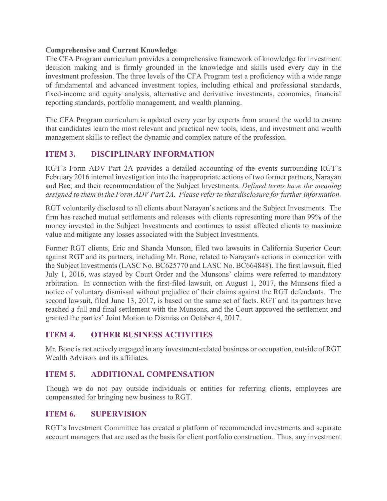#### **Comprehensive and Current Knowledge**

The CFA Program curriculum provides a comprehensive framework of knowledge for investment decision making and is firmly grounded in the knowledge and skills used every day in the investment profession. The three levels of the CFA Program test a proficiency with a wide range of fundamental and advanced investment topics, including ethical and professional standards, fixed-income and equity analysis, alternative and derivative investments, economics, financial reporting standards, portfolio management, and wealth planning.

The CFA Program curriculum is updated every year by experts from around the world to ensure that candidates learn the most relevant and practical new tools, ideas, and investment and wealth management skills to reflect the dynamic and complex nature of the profession.

## **ITEM 3. DISCIPLINARY INFORMATION**

RGT's Form ADV Part 2A provides a detailed accounting of the events surrounding RGT's February 2016 internal investigation into the inappropriate actions of two former partners, Narayan and Bae, and their recommendation of the Subject Investments. *Defined terms have the meaning assigned to them in the Form ADV Part 2A. Please refer to that disclosure for further information.*

RGT voluntarily disclosed to all clients about Narayan's actions and the Subject Investments. The firm has reached mutual settlements and releases with clients representing more than 99% of the money invested in the Subject Investments and continues to assist affected clients to maximize value and mitigate any losses associated with the Subject Investments.

Former RGT clients, Eric and Shanda Munson, filed two lawsuits in California Superior Court against RGT and its partners, including Mr. Bone, related to Narayan's actions in connection with the Subject Investments (LASC No. BC625770 and LASC No. BC664848). The first lawsuit, filed July 1, 2016, was stayed by Court Order and the Munsons' claims were referred to mandatory arbitration. In connection with the first-filed lawsuit, on August 1, 2017, the Munsons filed a notice of voluntary dismissal without prejudice of their claims against the RGT defendants. The second lawsuit, filed June 13, 2017, is based on the same set of facts. RGT and its partners have reached a full and final settlement with the Munsons, and the Court approved the settlement and granted the parties' Joint Motion to Dismiss on October 4, 2017.

## **ITEM 4. OTHER BUSINESS ACTIVITIES**

Mr. Bone is not actively engaged in any investment-related business or occupation, outside of RGT Wealth Advisors and its affiliates.

## **ITEM 5. ADDITIONAL COMPENSATION**

Though we do not pay outside individuals or entities for referring clients, employees are compensated for bringing new business to RGT.

## **ITEM 6. SUPERVISION**

RGT's Investment Committee has created a platform of recommended investments and separate account managers that are used as the basis for client portfolio construction. Thus, any investment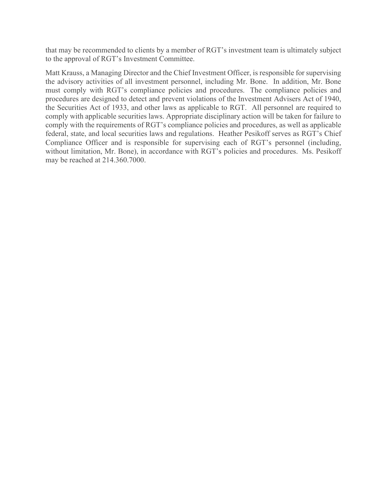that may be recommended to clients by a member of RGT's investment team is ultimately subject to the approval of RGT's Investment Committee.

Matt Krauss, a Managing Director and the Chief Investment Officer, is responsible for supervising the advisory activities of all investment personnel, including Mr. Bone. In addition, Mr. Bone must comply with RGT's compliance policies and procedures. The compliance policies and procedures are designed to detect and prevent violations of the Investment Advisers Act of 1940, the Securities Act of 1933, and other laws as applicable to RGT. All personnel are required to comply with applicable securities laws. Appropriate disciplinary action will be taken for failure to comply with the requirements of RGT's compliance policies and procedures, as well as applicable federal, state, and local securities laws and regulations. Heather Pesikoff serves as RGT's Chief Compliance Officer and is responsible for supervising each of RGT's personnel (including, without limitation, Mr. Bone), in accordance with RGT's policies and procedures. Ms. Pesikoff may be reached at 214.360.7000.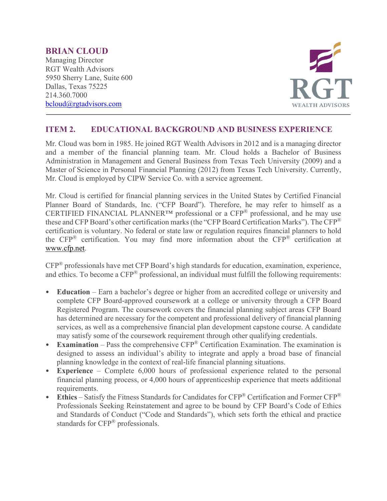#### **BRIAN CLOUD**

Managing Director RGT Wealth Advisors 5950 Sherry Lane, Suite 600 Dallas, Texas 75225 214.360.7000 [bcloud@rgtadvisors.com](mailto:bcloud@rgtadvisors.com)



## **ITEM 2. EDUCATIONAL BACKGROUND AND BUSINESS EXPERIENCE**

Mr. Cloud was born in 1985. He joined RGT Wealth Advisors in 2012 and is a managing director and a member of the financial planning team. Mr. Cloud holds a Bachelor of Business Administration in Management and General Business from Texas Tech University (2009) and a Master of Science in Personal Financial Planning (2012) from Texas Tech University. Currently, Mr. Cloud is employed by CIPW Service Co. with a service agreement.

Mr. Cloud is certified for financial planning services in the United States by Certified Financial Planner Board of Standards, Inc. ("CFP Board"). Therefore, he may refer to himself as a CERTIFIED FINANCIAL PLANNER™ professional or a CFP® professional, and he may use these and CFP Board's other certification marks (the "CFP Board Certification Marks"). The CFP® certification is voluntary. No federal or state law or regulation requires financial planners to hold the CFP® certification. You may find more information about the CFP® certification at [www.cfp.net.](https://protect-us.mimecast.com/s/1HBOCqxoRqf1V6k3tXIH3k?domain=nam04.safelinks.protection.outlook.com)

CFP® professionals have met CFP Board's high standards for education, examination, experience, and ethics. To become a CFP® professional, an individual must fulfill the following requirements:

- **Education** Earn a bachelor's degree or higher from an accredited college or university and complete CFP Board-approved coursework at a college or university through a CFP Board Registered Program. The coursework covers the financial planning subject areas CFP Board has determined are necessary for the competent and professional delivery of financial planning services, as well as a comprehensive financial plan development capstone course. A candidate may satisfy some of the coursework requirement through other qualifying credentials.
- **Examination** Pass the comprehensive CFP® Certification Examination. The examination is designed to assess an individual's ability to integrate and apply a broad base of financial planning knowledge in the context of real-life financial planning situations.
- **Experience**  Complete 6,000 hours of professional experience related to the personal financial planning process, or 4,000 hours of apprenticeship experience that meets additional requirements.
- **Ethics** Satisfy the Fitness Standards for Candidates for CFP® Certification and Former CFP® Professionals Seeking Reinstatement and agree to be bound by CFP Board's Code of Ethics and Standards of Conduct ("Code and Standards"), which sets forth the ethical and practice standards for CFP® professionals.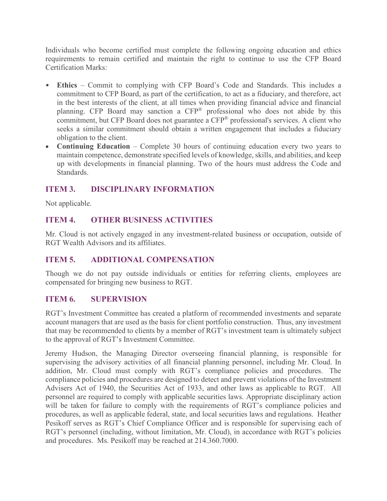Individuals who become certified must complete the following ongoing education and ethics requirements to remain certified and maintain the right to continue to use the CFP Board Certification Marks:

- **Ethics** Commit to complying with CFP Board's Code and Standards. This includes a commitment to CFP Board, as part of the certification, to act as a fiduciary, and therefore, act in the best interests of the client, at all times when providing financial advice and financial planning. CFP Board may sanction a CFP® professional who does not abide by this commitment, but CFP Board does not guarantee a CFP<sup>®</sup> professional's services. A client who seeks a similar commitment should obtain a written engagement that includes a fiduciary obligation to the client.
- **Continuing Education** Complete 30 hours of continuing education every two years to maintain competence, demonstrate specified levels of knowledge, skills, and abilities, and keep up with developments in financial planning. Two of the hours must address the Code and Standards.

# **ITEM 3. DISCIPLINARY INFORMATION**

Not applicable.

## **ITEM 4. OTHER BUSINESS ACTIVITIES**

Mr. Cloud is not actively engaged in any investment-related business or occupation, outside of RGT Wealth Advisors and its affiliates.

## **ITEM 5. ADDITIONAL COMPENSATION**

Though we do not pay outside individuals or entities for referring clients, employees are compensated for bringing new business to RGT.

## **ITEM 6. SUPERVISION**

RGT's Investment Committee has created a platform of recommended investments and separate account managers that are used as the basis for client portfolio construction. Thus, any investment that may be recommended to clients by a member of RGT's investment team is ultimately subject to the approval of RGT's Investment Committee.

Jeremy Hudson, the Managing Director overseeing financial planning, is responsible for supervising the advisory activities of all financial planning personnel, including Mr. Cloud. In addition, Mr. Cloud must comply with RGT's compliance policies and procedures. The compliance policies and procedures are designed to detect and prevent violations of the Investment Advisers Act of 1940, the Securities Act of 1933, and other laws as applicable to RGT. All personnel are required to comply with applicable securities laws. Appropriate disciplinary action will be taken for failure to comply with the requirements of RGT's compliance policies and procedures, as well as applicable federal, state, and local securities laws and regulations. Heather Pesikoff serves as RGT's Chief Compliance Officer and is responsible for supervising each of RGT's personnel (including, without limitation, Mr. Cloud), in accordance with RGT's policies and procedures. Ms. Pesikoff may be reached at 214.360.7000.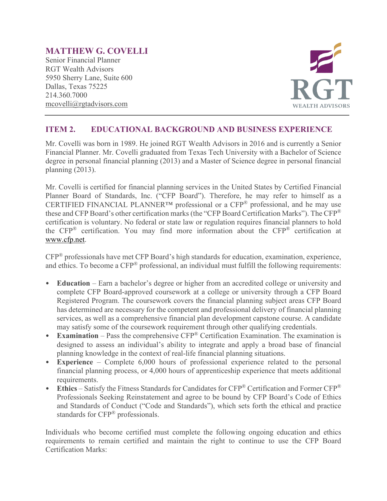# **MATTHEW G. COVELLI**

Senior Financial Planner RGT Wealth Advisors 5950 Sherry Lane, Suite 600 Dallas, Texas 75225 214.360.7000 mcovelli@rgtadvisors.com



## **ITEM 2. EDUCATIONAL BACKGROUND AND BUSINESS EXPERIENCE**

Mr. Covelli was born in 1989. He joined RGT Wealth Advisors in 2016 and is currently a Senior Financial Planner. Mr. Covelli graduated from Texas Tech University with a Bachelor of Science degree in personal financial planning (2013) and a Master of Science degree in personal financial planning (2013).

Mr. Covelli is certified for financial planning services in the United States by Certified Financial Planner Board of Standards, Inc. ("CFP Board"). Therefore, he may refer to himself as a CERTIFIED FINANCIAL PLANNER™ professional or a CFP® professional, and he may use these and CFP Board's other certification marks (the "CFP Board Certification Marks"). The CFP® certification is voluntary. No federal or state law or regulation requires financial planners to hold the CFP® certification. You may find more information about the CFP® certification at [www.cfp.net.](https://protect-us.mimecast.com/s/1HBOCqxoRqf1V6k3tXIH3k?domain=nam04.safelinks.protection.outlook.com)

CFP® professionals have met CFP Board's high standards for education, examination, experience, and ethics. To become a CFP® professional, an individual must fulfill the following requirements:

- **Education** Earn a bachelor's degree or higher from an accredited college or university and complete CFP Board-approved coursework at a college or university through a CFP Board Registered Program. The coursework covers the financial planning subject areas CFP Board has determined are necessary for the competent and professional delivery of financial planning services, as well as a comprehensive financial plan development capstone course. A candidate may satisfy some of the coursework requirement through other qualifying credentials.
- **Examination** Pass the comprehensive CFP® Certification Examination. The examination is designed to assess an individual's ability to integrate and apply a broad base of financial planning knowledge in the context of real-life financial planning situations.
- **Experience**  Complete 6,000 hours of professional experience related to the personal financial planning process, or 4,000 hours of apprenticeship experience that meets additional requirements.
- Ethics Satisfy the Fitness Standards for Candidates for CFP<sup>®</sup> Certification and Former CFP<sup>®</sup> Professionals Seeking Reinstatement and agree to be bound by CFP Board's Code of Ethics and Standards of Conduct ("Code and Standards"), which sets forth the ethical and practice standards for CFP<sup>®</sup> professionals.

Individuals who become certified must complete the following ongoing education and ethics requirements to remain certified and maintain the right to continue to use the CFP Board Certification Marks: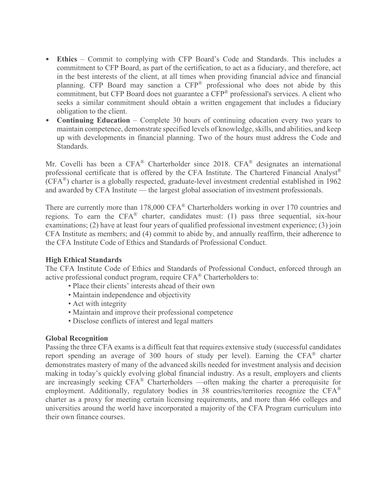- **Ethics** Commit to complying with CFP Board's Code and Standards. This includes a commitment to CFP Board, as part of the certification, to act as a fiduciary, and therefore, act in the best interests of the client, at all times when providing financial advice and financial planning. CFP Board may sanction a CFP® professional who does not abide by this commitment, but CFP Board does not guarantee a CFP® professional's services. A client who seeks a similar commitment should obtain a written engagement that includes a fiduciary obligation to the client.
- **Continuing Education** Complete 30 hours of continuing education every two years to maintain competence, demonstrate specified levels of knowledge, skills, and abilities, and keep up with developments in financial planning. Two of the hours must address the Code and Standards.

Mr. Covelli has been a CFA® Charterholder since 2018. CFA® designates an international professional certificate that is offered by the CFA Institute. The Chartered Financial Analyst® (CFA®) charter is a globally respected, graduate-level investment credential established in 1962 and awarded by CFA Institute — the largest global association of investment professionals.

There are currently more than 178,000 CFA® Charterholders working in over 170 countries and regions. To earn the  $CFA^{\otimes}$  charter, candidates must: (1) pass three sequential, six-hour examinations; (2) have at least four years of qualified professional investment experience; (3) join CFA Institute as members; and (4) commit to abide by, and annually reaffirm, their adherence to the CFA Institute Code of Ethics and Standards of Professional Conduct.

#### **High Ethical Standards**

The CFA Institute Code of Ethics and Standards of Professional Conduct, enforced through an active professional conduct program, require CFA® Charterholders to:

- Place their clients' interests ahead of their own
- Maintain independence and objectivity
- Act with integrity
- Maintain and improve their professional competence
- Disclose conflicts of interest and legal matters

#### **Global Recognition**

Passing the three CFA exams is a difficult feat that requires extensive study (successful candidates report spending an average of 300 hours of study per level). Earning the CFA® charter demonstrates mastery of many of the advanced skills needed for investment analysis and decision making in today's quickly evolving global financial industry. As a result, employers and clients are increasingly seeking CFA® Charterholders —often making the charter a prerequisite for employment. Additionally, regulatory bodies in 38 countries/territories recognize the CFA<sup>®</sup> charter as a proxy for meeting certain licensing requirements, and more than 466 colleges and universities around the world have incorporated a majority of the CFA Program curriculum into their own finance courses.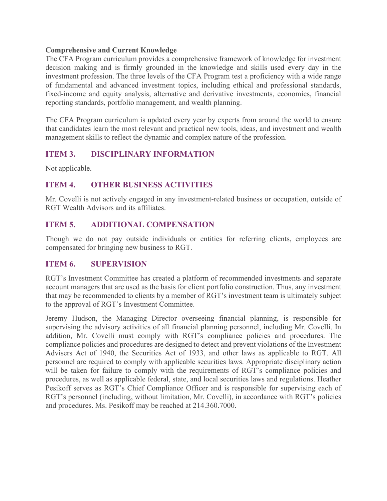#### **Comprehensive and Current Knowledge**

The CFA Program curriculum provides a comprehensive framework of knowledge for investment decision making and is firmly grounded in the knowledge and skills used every day in the investment profession. The three levels of the CFA Program test a proficiency with a wide range of fundamental and advanced investment topics, including ethical and professional standards, fixed-income and equity analysis, alternative and derivative investments, economics, financial reporting standards, portfolio management, and wealth planning.

The CFA Program curriculum is updated every year by experts from around the world to ensure that candidates learn the most relevant and practical new tools, ideas, and investment and wealth management skills to reflect the dynamic and complex nature of the profession.

## **ITEM 3. DISCIPLINARY INFORMATION**

Not applicable.

## **ITEM 4. OTHER BUSINESS ACTIVITIES**

Mr. Covelli is not actively engaged in any investment-related business or occupation, outside of RGT Wealth Advisors and its affiliates.

## **ITEM 5. ADDITIONAL COMPENSATION**

Though we do not pay outside individuals or entities for referring clients, employees are compensated for bringing new business to RGT.

#### **ITEM 6. SUPERVISION**

RGT's Investment Committee has created a platform of recommended investments and separate account managers that are used as the basis for client portfolio construction. Thus, any investment that may be recommended to clients by a member of RGT's investment team is ultimately subject to the approval of RGT's Investment Committee.

Jeremy Hudson, the Managing Director overseeing financial planning, is responsible for supervising the advisory activities of all financial planning personnel, including Mr. Covelli. In addition, Mr. Covelli must comply with RGT's compliance policies and procedures. The compliance policies and procedures are designed to detect and prevent violations of the Investment Advisers Act of 1940, the Securities Act of 1933, and other laws as applicable to RGT. All personnel are required to comply with applicable securities laws. Appropriate disciplinary action will be taken for failure to comply with the requirements of RGT's compliance policies and procedures, as well as applicable federal, state, and local securities laws and regulations. Heather Pesikoff serves as RGT's Chief Compliance Officer and is responsible for supervising each of RGT's personnel (including, without limitation, Mr. Covelli), in accordance with RGT's policies and procedures. Ms. Pesikoff may be reached at 214.360.7000.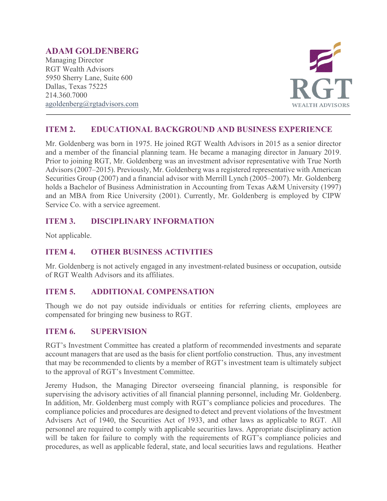# **ADAM GOLDENBERG**

Managing Director RGT Wealth Advisors 5950 Sherry Lane, Suite 600 Dallas, Texas 75225 214.360.7000 [agoldenberg@rgtadvisors.com](mailto:bcole@rgtnet.com)



## **ITEM 2. EDUCATIONAL BACKGROUND AND BUSINESS EXPERIENCE**

Mr. Goldenberg was born in 1975. He joined RGT Wealth Advisors in 2015 as a senior director and a member of the financial planning team. He became a managing director in January 2019. Prior to joining RGT, Mr. Goldenberg was an investment advisor representative with True North Advisors (2007–2015). Previously, Mr. Goldenberg was a registered representative with American Securities Group (2007) and a financial advisor with Merrill Lynch (2005–2007). Mr. Goldenberg holds a Bachelor of Business Administration in Accounting from Texas A&M University (1997) and an MBA from Rice University (2001). Currently, Mr. Goldenberg is employed by CIPW Service Co. with a service agreement.

## **ITEM 3. DISCIPLINARY INFORMATION**

Not applicable.

## **ITEM 4. OTHER BUSINESS ACTIVITIES**

Mr. Goldenberg is not actively engaged in any investment-related business or occupation, outside of RGT Wealth Advisors and its affiliates.

## **ITEM 5. ADDITIONAL COMPENSATION**

Though we do not pay outside individuals or entities for referring clients, employees are compensated for bringing new business to RGT.

## **ITEM 6. SUPERVISION**

RGT's Investment Committee has created a platform of recommended investments and separate account managers that are used as the basis for client portfolio construction. Thus, any investment that may be recommended to clients by a member of RGT's investment team is ultimately subject to the approval of RGT's Investment Committee.

Jeremy Hudson, the Managing Director overseeing financial planning, is responsible for supervising the advisory activities of all financial planning personnel, including Mr. Goldenberg. In addition, Mr. Goldenberg must comply with RGT's compliance policies and procedures. The compliance policies and procedures are designed to detect and prevent violations of the Investment Advisers Act of 1940, the Securities Act of 1933, and other laws as applicable to RGT. All personnel are required to comply with applicable securities laws. Appropriate disciplinary action will be taken for failure to comply with the requirements of RGT's compliance policies and procedures, as well as applicable federal, state, and local securities laws and regulations. Heather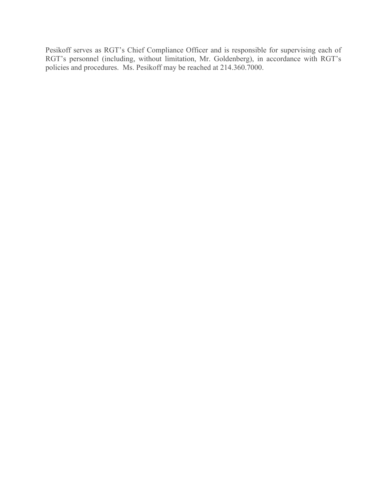Pesikoff serves as RGT's Chief Compliance Officer and is responsible for supervising each of RGT's personnel (including, without limitation, Mr. Goldenberg), in accordance with RGT's policies and procedures. Ms. Pesikoff may be reached at 214.360.7000.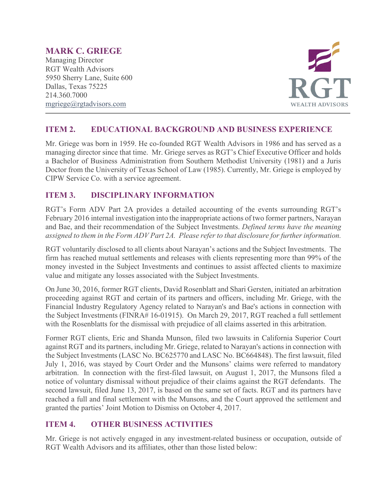# **MARK C. GRIEGE**

Managing Director RGT Wealth Advisors 5950 Sherry Lane, Suite 600 Dallas, Texas 75225 214.360.7000 [mgriege@rgtadvisors.com](mailto:rbrizendine@rgtnet.com)



## **ITEM 2. EDUCATIONAL BACKGROUND AND BUSINESS EXPERIENCE**

Mr. Griege was born in 1959. He co-founded RGT Wealth Advisors in 1986 and has served as a managing director since that time. Mr. Griege serves as RGT's Chief Executive Officer and holds a Bachelor of Business Administration from Southern Methodist University (1981) and a Juris Doctor from the University of Texas School of Law (1985). Currently, Mr. Griege is employed by CIPW Service Co. with a service agreement.

## **ITEM 3. DISCIPLINARY INFORMATION**

RGT's Form ADV Part 2A provides a detailed accounting of the events surrounding RGT's February 2016 internal investigation into the inappropriate actions of two former partners, Narayan and Bae, and their recommendation of the Subject Investments. *Defined terms have the meaning assigned to them in the Form ADV Part 2A. Please refer to that disclosure for further information.*

RGT voluntarily disclosed to all clients about Narayan's actions and the Subject Investments. The firm has reached mutual settlements and releases with clients representing more than 99% of the money invested in the Subject Investments and continues to assist affected clients to maximize value and mitigate any losses associated with the Subject Investments.

On June 30, 2016, former RGT clients, David Rosenblatt and Shari Gersten, initiated an arbitration proceeding against RGT and certain of its partners and officers, including Mr. Griege, with the Financial Industry Regulatory Agency related to Narayan's and Bae's actions in connection with the Subject Investments (FINRA# 16-01915). On March 29, 2017, RGT reached a full settlement with the Rosenblatts for the dismissal with prejudice of all claims asserted in this arbitration.

Former RGT clients, Eric and Shanda Munson, filed two lawsuits in California Superior Court against RGT and its partners, including Mr. Griege, related to Narayan's actions in connection with the Subject Investments (LASC No. BC625770 and LASC No. BC664848). The first lawsuit, filed July 1, 2016, was stayed by Court Order and the Munsons' claims were referred to mandatory arbitration. In connection with the first-filed lawsuit, on August 1, 2017, the Munsons filed a notice of voluntary dismissal without prejudice of their claims against the RGT defendants. The second lawsuit, filed June 13, 2017, is based on the same set of facts. RGT and its partners have reached a full and final settlement with the Munsons, and the Court approved the settlement and granted the parties' Joint Motion to Dismiss on October 4, 2017.

## **ITEM 4. OTHER BUSINESS ACTIVITIES**

Mr. Griege is not actively engaged in any investment-related business or occupation, outside of RGT Wealth Advisors and its affiliates, other than those listed below: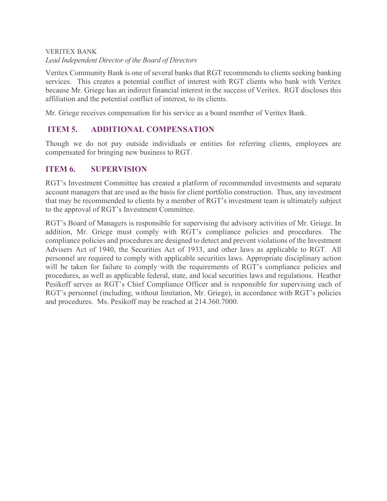## VERITEX BANK *Lead Independent Director of the Board of Directors*

Veritex Community Bank is one of several banks that RGT recommends to clients seeking banking services. This creates a potential conflict of interest with RGT clients who bank with Veritex because Mr. Griege has an indirect financial interest in the success of Veritex. RGT discloses this affiliation and the potential conflict of interest, to its clients.

Mr. Griege receives compensation for his service as a board member of Veritex Bank.

## **ITEM 5. ADDITIONAL COMPENSATION**

Though we do not pay outside individuals or entities for referring clients, employees are compensated for bringing new business to RGT.

#### **ITEM 6. SUPERVISION**

RGT's Investment Committee has created a platform of recommended investments and separate account managers that are used as the basis for client portfolio construction. Thus, any investment that may be recommended to clients by a member of RGT's investment team is ultimately subject to the approval of RGT's Investment Committee.

RGT's Board of Managers is responsible for supervising the advisory activities of Mr. Griege. In addition, Mr. Griege must comply with RGT's compliance policies and procedures. The compliance policies and procedures are designed to detect and prevent violations of the Investment Advisers Act of 1940, the Securities Act of 1933, and other laws as applicable to RGT. All personnel are required to comply with applicable securities laws. Appropriate disciplinary action will be taken for failure to comply with the requirements of RGT's compliance policies and procedures, as well as applicable federal, state, and local securities laws and regulations. Heather Pesikoff serves as RGT's Chief Compliance Officer and is responsible for supervising each of RGT's personnel (including, without limitation, Mr. Griege), in accordance with RGT's policies and procedures. Ms. Pesikoff may be reached at 214.360.7000.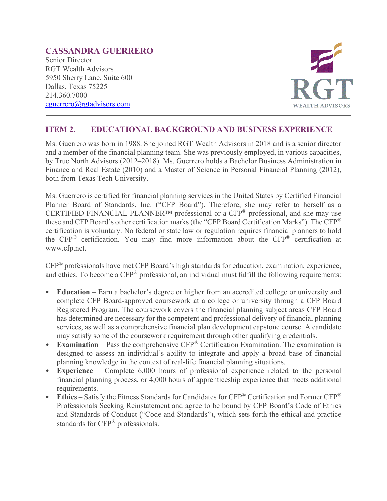# **CASSANDRA GUERRERO**

Senior Director RGT Wealth Advisors 5950 Sherry Lane, Suite 600 Dallas, Texas 75225 214.360.7000 [cguerrero@rgtadvisors.com](mailto:cguerrero@rgtadvisors.com)



## **ITEM 2. EDUCATIONAL BACKGROUND AND BUSINESS EXPERIENCE**

Ms. Guerrero was born in 1988. She joined RGT Wealth Advisors in 2018 and is a senior director and a member of the financial planning team. She was previously employed, in various capacities, by True North Advisors (2012–2018). Ms. Guerrero holds a Bachelor Business Administration in Finance and Real Estate (2010) and a Master of Science in Personal Financial Planning (2012), both from Texas Tech University.

Ms. Guerrero is certified for financial planning services in the United States by Certified Financial Planner Board of Standards, Inc. ("CFP Board"). Therefore, she may refer to herself as a CERTIFIED FINANCIAL PLANNER™ professional or a CFP® professional, and she may use these and CFP Board's other certification marks (the "CFP Board Certification Marks"). The CFP® certification is voluntary. No federal or state law or regulation requires financial planners to hold the CFP® certification. You may find more information about the CFP® certification at [www.cfp.net.](https://protect-us.mimecast.com/s/1HBOCqxoRqf1V6k3tXIH3k?domain=nam04.safelinks.protection.outlook.com)

CFP® professionals have met CFP Board's high standards for education, examination, experience, and ethics. To become a CFP® professional, an individual must fulfill the following requirements:

- **Education** Earn a bachelor's degree or higher from an accredited college or university and complete CFP Board-approved coursework at a college or university through a CFP Board Registered Program. The coursework covers the financial planning subject areas CFP Board has determined are necessary for the competent and professional delivery of financial planning services, as well as a comprehensive financial plan development capstone course. A candidate may satisfy some of the coursework requirement through other qualifying credentials.
- **Examination** Pass the comprehensive CFP® Certification Examination. The examination is designed to assess an individual's ability to integrate and apply a broad base of financial planning knowledge in the context of real-life financial planning situations.
- **Experience**  Complete 6,000 hours of professional experience related to the personal financial planning process, or 4,000 hours of apprenticeship experience that meets additional requirements.
- **Ethics** Satisfy the Fitness Standards for Candidates for CFP® Certification and Former CFP® Professionals Seeking Reinstatement and agree to be bound by CFP Board's Code of Ethics and Standards of Conduct ("Code and Standards"), which sets forth the ethical and practice standards for CFP® professionals.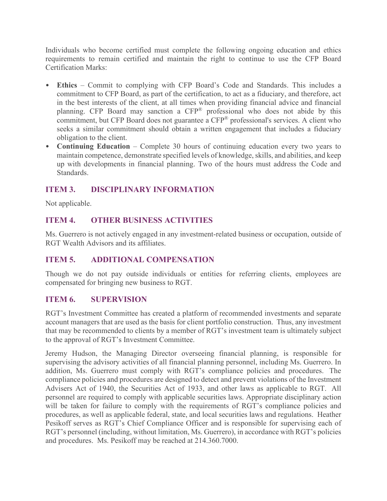Individuals who become certified must complete the following ongoing education and ethics requirements to remain certified and maintain the right to continue to use the CFP Board Certification Marks:

- **Ethics** Commit to complying with CFP Board's Code and Standards. This includes a commitment to CFP Board, as part of the certification, to act as a fiduciary, and therefore, act in the best interests of the client, at all times when providing financial advice and financial planning. CFP Board may sanction a CFP® professional who does not abide by this commitment, but CFP Board does not guarantee a CFP<sup>®</sup> professional's services. A client who seeks a similar commitment should obtain a written engagement that includes a fiduciary obligation to the client.
- **Continuing Education** Complete 30 hours of continuing education every two years to maintain competence, demonstrate specified levels of knowledge, skills, and abilities, and keep up with developments in financial planning. Two of the hours must address the Code and Standards.

# **ITEM 3. DISCIPLINARY INFORMATION**

Not applicable.

# **ITEM 4. OTHER BUSINESS ACTIVITIES**

Ms. Guerrero is not actively engaged in any investment-related business or occupation, outside of RGT Wealth Advisors and its affiliates.

## **ITEM 5. ADDITIONAL COMPENSATION**

Though we do not pay outside individuals or entities for referring clients, employees are compensated for bringing new business to RGT.

## **ITEM 6. SUPERVISION**

RGT's Investment Committee has created a platform of recommended investments and separate account managers that are used as the basis for client portfolio construction. Thus, any investment that may be recommended to clients by a member of RGT's investment team is ultimately subject to the approval of RGT's Investment Committee.

Jeremy Hudson, the Managing Director overseeing financial planning, is responsible for supervising the advisory activities of all financial planning personnel, including Ms. Guerrero. In addition, Ms. Guerrero must comply with RGT's compliance policies and procedures. The compliance policies and procedures are designed to detect and prevent violations of the Investment Advisers Act of 1940, the Securities Act of 1933, and other laws as applicable to RGT. All personnel are required to comply with applicable securities laws. Appropriate disciplinary action will be taken for failure to comply with the requirements of RGT's compliance policies and procedures, as well as applicable federal, state, and local securities laws and regulations. Heather Pesikoff serves as RGT's Chief Compliance Officer and is responsible for supervising each of RGT's personnel (including, without limitation, Ms. Guerrero), in accordance with RGT's policies and procedures. Ms. Pesikoff may be reached at 214.360.7000.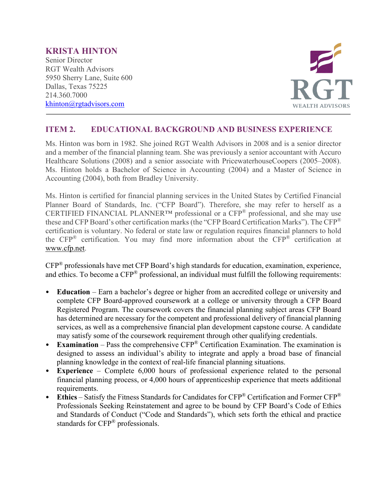#### **KRISTA HINTON**  Senior Director RGT Wealth Advisors 5950 Sherry Lane, Suite 600 Dallas, Texas 75225 214.360.7000 [khinton@rgtadvisors.com](mailto:khinton@rgtadvisors.com)



# **ITEM 2. EDUCATIONAL BACKGROUND AND BUSINESS EXPERIENCE**

Ms. Hinton was born in 1982. She joined RGT Wealth Advisors in 2008 and is a senior director and a member of the financial planning team. She was previously a senior accountant with Accuro Healthcare Solutions (2008) and a senior associate with PricewaterhouseCoopers (2005–2008). Ms. Hinton holds a Bachelor of Science in Accounting (2004) and a Master of Science in Accounting (2004), both from Bradley University.

Ms. Hinton is certified for financial planning services in the United States by Certified Financial Planner Board of Standards, Inc. ("CFP Board"). Therefore, she may refer to herself as a CERTIFIED FINANCIAL PLANNER™ professional or a CFP® professional, and she may use these and CFP Board's other certification marks (the "CFP Board Certification Marks"). The CFP® certification is voluntary. No federal or state law or regulation requires financial planners to hold the CFP® certification. You may find more information about the CFP® certification at [www.cfp.net.](https://protect-us.mimecast.com/s/1HBOCqxoRqf1V6k3tXIH3k?domain=nam04.safelinks.protection.outlook.com)

CFP® professionals have met CFP Board's high standards for education, examination, experience, and ethics. To become a CFP<sup>®</sup> professional, an individual must fulfill the following requirements:

- **Education** Earn a bachelor's degree or higher from an accredited college or university and complete CFP Board-approved coursework at a college or university through a CFP Board Registered Program. The coursework covers the financial planning subject areas CFP Board has determined are necessary for the competent and professional delivery of financial planning services, as well as a comprehensive financial plan development capstone course. A candidate may satisfy some of the coursework requirement through other qualifying credentials.
- **Examination** Pass the comprehensive CFP® Certification Examination. The examination is designed to assess an individual's ability to integrate and apply a broad base of financial planning knowledge in the context of real-life financial planning situations.
- **Experience**  Complete 6,000 hours of professional experience related to the personal financial planning process, or 4,000 hours of apprenticeship experience that meets additional requirements.
- **Ethics** Satisfy the Fitness Standards for Candidates for CFP® Certification and Former CFP® Professionals Seeking Reinstatement and agree to be bound by CFP Board's Code of Ethics and Standards of Conduct ("Code and Standards"), which sets forth the ethical and practice standards for CFP® professionals.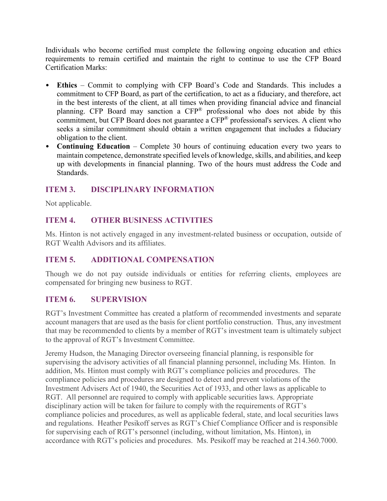Individuals who become certified must complete the following ongoing education and ethics requirements to remain certified and maintain the right to continue to use the CFP Board Certification Marks:

- **Ethics** Commit to complying with CFP Board's Code and Standards. This includes a commitment to CFP Board, as part of the certification, to act as a fiduciary, and therefore, act in the best interests of the client, at all times when providing financial advice and financial planning. CFP Board may sanction a CFP® professional who does not abide by this commitment, but CFP Board does not guarantee a CFP<sup>®</sup> professional's services. A client who seeks a similar commitment should obtain a written engagement that includes a fiduciary obligation to the client.
- **Continuing Education** Complete 30 hours of continuing education every two years to maintain competence, demonstrate specified levels of knowledge, skills, and abilities, and keep up with developments in financial planning. Two of the hours must address the Code and Standards.

## **ITEM 3. DISCIPLINARY INFORMATION**

Not applicable.

## **ITEM 4. OTHER BUSINESS ACTIVITIES**

Ms. Hinton is not actively engaged in any investment-related business or occupation, outside of RGT Wealth Advisors and its affiliates.

## **ITEM 5. ADDITIONAL COMPENSATION**

Though we do not pay outside individuals or entities for referring clients, employees are compensated for bringing new business to RGT.

## **ITEM 6. SUPERVISION**

RGT's Investment Committee has created a platform of recommended investments and separate account managers that are used as the basis for client portfolio construction. Thus, any investment that may be recommended to clients by a member of RGT's investment team is ultimately subject to the approval of RGT's Investment Committee.

Jeremy Hudson, the Managing Director overseeing financial planning, is responsible for supervising the advisory activities of all financial planning personnel, including Ms. Hinton. In addition, Ms. Hinton must comply with RGT's compliance policies and procedures. The compliance policies and procedures are designed to detect and prevent violations of the Investment Advisers Act of 1940, the Securities Act of 1933, and other laws as applicable to RGT. All personnel are required to comply with applicable securities laws. Appropriate disciplinary action will be taken for failure to comply with the requirements of RGT's compliance policies and procedures, as well as applicable federal, state, and local securities laws and regulations. Heather Pesikoff serves as RGT's Chief Compliance Officer and is responsible for supervising each of RGT's personnel (including, without limitation, Ms. Hinton), in accordance with RGT's policies and procedures. Ms. Pesikoff may be reached at 214.360.7000.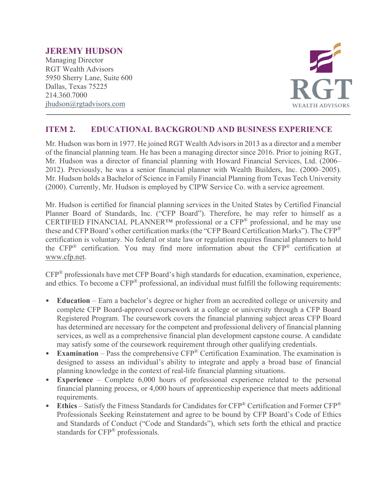## **JEREMY HUDSON**

Managing Director RGT Wealth Advisors 5950 Sherry Lane, Suite 600 Dallas, Texas 75225 214.360.7000 [jhudson@rgtadvisors.com](mailto:bcole@rgtnet.com)



## **ITEM 2. EDUCATIONAL BACKGROUND AND BUSINESS EXPERIENCE**

Mr. Hudson was born in 1977. He joined RGT Wealth Advisors in 2013 as a director and a member of the financial planning team. He has been a managing director since 2016. Prior to joining RGT, Mr. Hudson was a director of financial planning with Howard Financial Services, Ltd. (2006– 2012). Previously, he was a senior financial planner with Wealth Builders, Inc. (2000–2005). Mr. Hudson holds a Bachelor of Science in Family Financial Planning from Texas Tech University (2000). Currently, Mr. Hudson is employed by CIPW Service Co. with a service agreement.

Mr. Hudson is certified for financial planning services in the United States by Certified Financial Planner Board of Standards, Inc. ("CFP Board"). Therefore, he may refer to himself as a CERTIFIED FINANCIAL PLANNER<sup>TM</sup> professional or a CFP<sup>®</sup> professional, and he may use these and CFP Board's other certification marks (the "CFP Board Certification Marks"). The CFP® certification is voluntary. No federal or state law or regulation requires financial planners to hold the CFP® certification. You may find more information about the CFP® certification at [www.cfp.net.](https://protect-us.mimecast.com/s/1HBOCqxoRqf1V6k3tXIH3k?domain=nam04.safelinks.protection.outlook.com)

CFP® professionals have met CFP Board's high standards for education, examination, experience, and ethics. To become a CFP® professional, an individual must fulfill the following requirements:

- **Education** Earn a bachelor's degree or higher from an accredited college or university and complete CFP Board-approved coursework at a college or university through a CFP Board Registered Program. The coursework covers the financial planning subject areas CFP Board has determined are necessary for the competent and professional delivery of financial planning services, as well as a comprehensive financial plan development capstone course. A candidate may satisfy some of the coursework requirement through other qualifying credentials.
- **Examination** Pass the comprehensive CFP® Certification Examination. The examination is designed to assess an individual's ability to integrate and apply a broad base of financial planning knowledge in the context of real-life financial planning situations.
- **Experience**  Complete 6,000 hours of professional experience related to the personal financial planning process, or 4,000 hours of apprenticeship experience that meets additional requirements.
- **Ethics** Satisfy the Fitness Standards for Candidates for CFP® Certification and Former CFP® Professionals Seeking Reinstatement and agree to be bound by CFP Board's Code of Ethics and Standards of Conduct ("Code and Standards"), which sets forth the ethical and practice standards for CFP® professionals.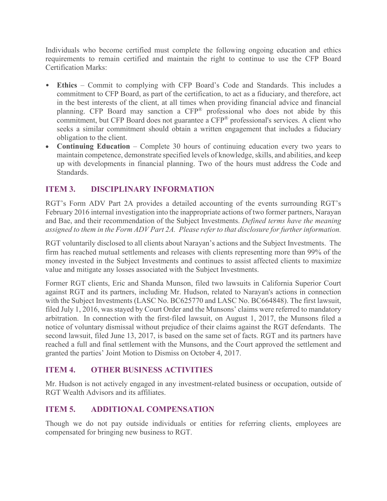Individuals who become certified must complete the following ongoing education and ethics requirements to remain certified and maintain the right to continue to use the CFP Board Certification Marks:

- **Ethics** Commit to complying with CFP Board's Code and Standards. This includes a commitment to CFP Board, as part of the certification, to act as a fiduciary, and therefore, act in the best interests of the client, at all times when providing financial advice and financial planning. CFP Board may sanction a CFP® professional who does not abide by this commitment, but CFP Board does not guarantee a CFP<sup>®</sup> professional's services. A client who seeks a similar commitment should obtain a written engagement that includes a fiduciary obligation to the client.
- **Continuing Education** Complete 30 hours of continuing education every two years to maintain competence, demonstrate specified levels of knowledge, skills, and abilities, and keep up with developments in financial planning. Two of the hours must address the Code and Standards.

# **ITEM 3. DISCIPLINARY INFORMATION**

RGT's Form ADV Part 2A provides a detailed accounting of the events surrounding RGT's February 2016 internal investigation into the inappropriate actions of two former partners, Narayan and Bae, and their recommendation of the Subject Investments. *Defined terms have the meaning assigned to them in the Form ADV Part 2A. Please refer to that disclosure for further information.*

RGT voluntarily disclosed to all clients about Narayan's actions and the Subject Investments. The firm has reached mutual settlements and releases with clients representing more than 99% of the money invested in the Subject Investments and continues to assist affected clients to maximize value and mitigate any losses associated with the Subject Investments.

Former RGT clients, Eric and Shanda Munson, filed two lawsuits in California Superior Court against RGT and its partners, including Mr. Hudson, related to Narayan's actions in connection with the Subject Investments (LASC No. BC625770 and LASC No. BC664848). The first lawsuit, filed July 1, 2016, was stayed by Court Order and the Munsons' claims were referred to mandatory arbitration. In connection with the first-filed lawsuit, on August 1, 2017, the Munsons filed a notice of voluntary dismissal without prejudice of their claims against the RGT defendants. The second lawsuit, filed June 13, 2017, is based on the same set of facts. RGT and its partners have reached a full and final settlement with the Munsons, and the Court approved the settlement and granted the parties' Joint Motion to Dismiss on October 4, 2017.

## **ITEM 4. OTHER BUSINESS ACTIVITIES**

Mr. Hudson is not actively engaged in any investment-related business or occupation, outside of RGT Wealth Advisors and its affiliates.

## **ITEM 5. ADDITIONAL COMPENSATION**

Though we do not pay outside individuals or entities for referring clients, employees are compensated for bringing new business to RGT.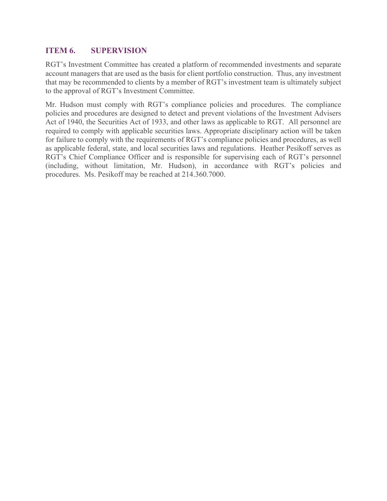## **ITEM 6. SUPERVISION**

RGT's Investment Committee has created a platform of recommended investments and separate account managers that are used as the basis for client portfolio construction. Thus, any investment that may be recommended to clients by a member of RGT's investment team is ultimately subject to the approval of RGT's Investment Committee.

Mr. Hudson must comply with RGT's compliance policies and procedures. The compliance policies and procedures are designed to detect and prevent violations of the Investment Advisers Act of 1940, the Securities Act of 1933, and other laws as applicable to RGT. All personnel are required to comply with applicable securities laws. Appropriate disciplinary action will be taken for failure to comply with the requirements of RGT's compliance policies and procedures, as well as applicable federal, state, and local securities laws and regulations. Heather Pesikoff serves as RGT's Chief Compliance Officer and is responsible for supervising each of RGT's personnel (including, without limitation, Mr. Hudson), in accordance with RGT's policies and procedures. Ms. Pesikoff may be reached at 214.360.7000.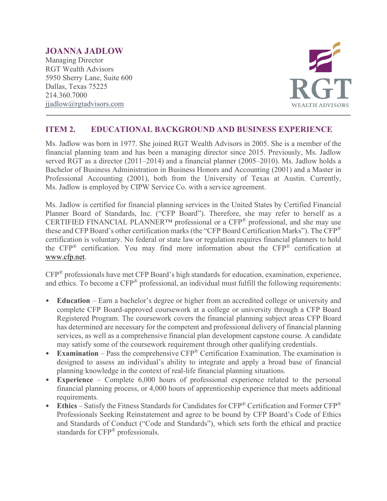## **JOANNA JADLOW**

Managing Director RGT Wealth Advisors 5950 Sherry Lane, Suite 600 Dallas, Texas 75225 214.360.7000 [jjadlow@rgtadvisors.com](mailto:jjadlow@rgtnet.com)



## **ITEM 2. EDUCATIONAL BACKGROUND AND BUSINESS EXPERIENCE**

Ms. Jadlow was born in 1977. She joined RGT Wealth Advisors in 2005. She is a member of the financial planning team and has been a managing director since 2015. Previously, Ms. Jadlow served RGT as a director (2011–2014) and a financial planner (2005–2010). Ms. Jadlow holds a Bachelor of Business Administration in Business Honors and Accounting (2001) and a Master in Professional Accounting (2001), both from the University of Texas at Austin. Currently, Ms. Jadlow is employed by CIPW Service Co. with a service agreement.

Ms. Jadlow is certified for financial planning services in the United States by Certified Financial Planner Board of Standards, Inc. ("CFP Board"). Therefore, she may refer to herself as a CERTIFIED FINANCIAL PLANNER<sup>TM</sup> professional or a CFP<sup>®</sup> professional, and she may use these and CFP Board's other certification marks (the "CFP Board Certification Marks"). The CFP® certification is voluntary. No federal or state law or regulation requires financial planners to hold the CFP® certification. You may find more information about the CFP® certification at [www.cfp.net.](https://protect-us.mimecast.com/s/1HBOCqxoRqf1V6k3tXIH3k?domain=nam04.safelinks.protection.outlook.com)

CFP® professionals have met CFP Board's high standards for education, examination, experience, and ethics. To become a CFP® professional, an individual must fulfill the following requirements:

- **Education** Earn a bachelor's degree or higher from an accredited college or university and complete CFP Board-approved coursework at a college or university through a CFP Board Registered Program. The coursework covers the financial planning subject areas CFP Board has determined are necessary for the competent and professional delivery of financial planning services, as well as a comprehensive financial plan development capstone course. A candidate may satisfy some of the coursework requirement through other qualifying credentials.
- **Examination** Pass the comprehensive CFP<sup>®</sup> Certification Examination. The examination is designed to assess an individual's ability to integrate and apply a broad base of financial planning knowledge in the context of real-life financial planning situations.
- **Experience**  Complete 6,000 hours of professional experience related to the personal financial planning process, or 4,000 hours of apprenticeship experience that meets additional requirements.
- **Ethics** Satisfy the Fitness Standards for Candidates for CFP® Certification and Former CFP® Professionals Seeking Reinstatement and agree to be bound by CFP Board's Code of Ethics and Standards of Conduct ("Code and Standards"), which sets forth the ethical and practice standards for CFP® professionals.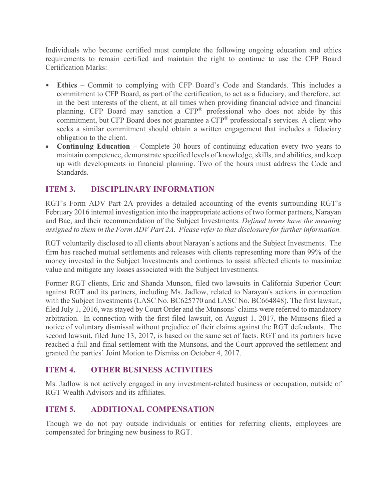Individuals who become certified must complete the following ongoing education and ethics requirements to remain certified and maintain the right to continue to use the CFP Board Certification Marks:

- **Ethics** Commit to complying with CFP Board's Code and Standards. This includes a commitment to CFP Board, as part of the certification, to act as a fiduciary, and therefore, act in the best interests of the client, at all times when providing financial advice and financial planning. CFP Board may sanction a CFP® professional who does not abide by this commitment, but CFP Board does not guarantee a CFP<sup>®</sup> professional's services. A client who seeks a similar commitment should obtain a written engagement that includes a fiduciary obligation to the client.
- **Continuing Education** Complete 30 hours of continuing education every two years to maintain competence, demonstrate specified levels of knowledge, skills, and abilities, and keep up with developments in financial planning. Two of the hours must address the Code and Standards.

# **ITEM 3. DISCIPLINARY INFORMATION**

RGT's Form ADV Part 2A provides a detailed accounting of the events surrounding RGT's February 2016 internal investigation into the inappropriate actions of two former partners, Narayan and Bae, and their recommendation of the Subject Investments. *Defined terms have the meaning assigned to them in the Form ADV Part 2A. Please refer to that disclosure for further information.*

RGT voluntarily disclosed to all clients about Narayan's actions and the Subject Investments. The firm has reached mutual settlements and releases with clients representing more than 99% of the money invested in the Subject Investments and continues to assist affected clients to maximize value and mitigate any losses associated with the Subject Investments.

Former RGT clients, Eric and Shanda Munson, filed two lawsuits in California Superior Court against RGT and its partners, including Ms. Jadlow, related to Narayan's actions in connection with the Subject Investments (LASC No. BC625770 and LASC No. BC664848). The first lawsuit, filed July 1, 2016, was stayed by Court Order and the Munsons' claims were referred to mandatory arbitration. In connection with the first-filed lawsuit, on August 1, 2017, the Munsons filed a notice of voluntary dismissal without prejudice of their claims against the RGT defendants. The second lawsuit, filed June 13, 2017, is based on the same set of facts. RGT and its partners have reached a full and final settlement with the Munsons, and the Court approved the settlement and granted the parties' Joint Motion to Dismiss on October 4, 2017.

## **ITEM 4. OTHER BUSINESS ACTIVITIES**

Ms. Jadlow is not actively engaged in any investment-related business or occupation, outside of RGT Wealth Advisors and its affiliates.

## **ITEM 5. ADDITIONAL COMPENSATION**

Though we do not pay outside individuals or entities for referring clients, employees are compensated for bringing new business to RGT.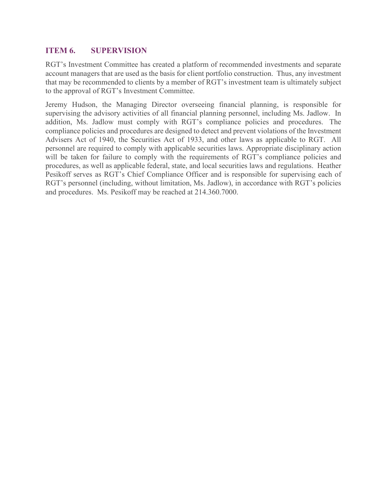## **ITEM 6. SUPERVISION**

RGT's Investment Committee has created a platform of recommended investments and separate account managers that are used as the basis for client portfolio construction. Thus, any investment that may be recommended to clients by a member of RGT's investment team is ultimately subject to the approval of RGT's Investment Committee.

Jeremy Hudson, the Managing Director overseeing financial planning, is responsible for supervising the advisory activities of all financial planning personnel, including Ms. Jadlow. In addition, Ms. Jadlow must comply with RGT's compliance policies and procedures. The compliance policies and procedures are designed to detect and prevent violations of the Investment Advisers Act of 1940, the Securities Act of 1933, and other laws as applicable to RGT. All personnel are required to comply with applicable securities laws. Appropriate disciplinary action will be taken for failure to comply with the requirements of RGT's compliance policies and procedures, as well as applicable federal, state, and local securities laws and regulations. Heather Pesikoff serves as RGT's Chief Compliance Officer and is responsible for supervising each of RGT's personnel (including, without limitation, Ms. Jadlow), in accordance with RGT's policies and procedures. Ms. Pesikoff may be reached at 214.360.7000.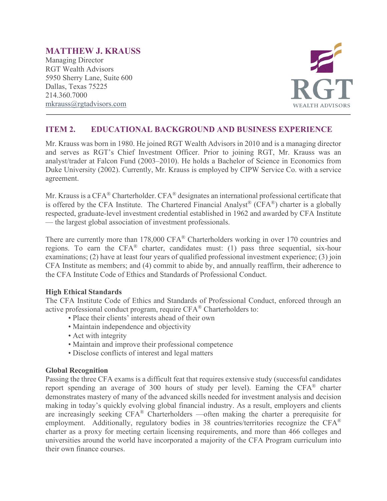## **MATTHEW J. KRAUSS**

Managing Director RGT Wealth Advisors 5950 Sherry Lane, Suite 600 Dallas, Texas 75225 214.360.7000 [mkrauss@rgtadvisors.com](mailto:tamacher@rgtnet.com)



## **ITEM 2. EDUCATIONAL BACKGROUND AND BUSINESS EXPERIENCE**

Mr. Krauss was born in 1980. He joined RGT Wealth Advisors in 2010 and is a managing director and serves as RGT's Chief Investment Officer. Prior to joining RGT, Mr. Krauss was an analyst/trader at Falcon Fund (2003–2010). He holds a Bachelor of Science in Economics from Duke University (2002). Currently, Mr. Krauss is employed by CIPW Service Co. with a service agreement.

Mr. Krauss is a CFA<sup>®</sup> Charterholder. CFA<sup>®</sup> designates an international professional certificate that is offered by the CFA Institute. The Chartered Financial Analyst<sup>®</sup> (CFA<sup>®</sup>) charter is a globally respected, graduate-level investment credential established in 1962 and awarded by CFA Institute — the largest global association of investment professionals.

There are currently more than 178,000 CFA® Charterholders working in over 170 countries and regions. To earn the CFA® charter, candidates must: (1) pass three sequential, six-hour examinations; (2) have at least four years of qualified professional investment experience; (3) join CFA Institute as members; and (4) commit to abide by, and annually reaffirm, their adherence to the CFA Institute Code of Ethics and Standards of Professional Conduct.

#### **High Ethical Standards**

The CFA Institute Code of Ethics and Standards of Professional Conduct, enforced through an active professional conduct program, require CFA® Charterholders to:

- Place their clients' interests ahead of their own
- Maintain independence and objectivity
- Act with integrity
- Maintain and improve their professional competence
- Disclose conflicts of interest and legal matters

#### **Global Recognition**

Passing the three CFA exams is a difficult feat that requires extensive study (successful candidates report spending an average of 300 hours of study per level). Earning the CFA® charter demonstrates mastery of many of the advanced skills needed for investment analysis and decision making in today's quickly evolving global financial industry. As a result, employers and clients are increasingly seeking CFA® Charterholders —often making the charter a prerequisite for employment. Additionally, regulatory bodies in 38 countries/territories recognize the CFA® charter as a proxy for meeting certain licensing requirements, and more than 466 colleges and universities around the world have incorporated a majority of the CFA Program curriculum into their own finance courses.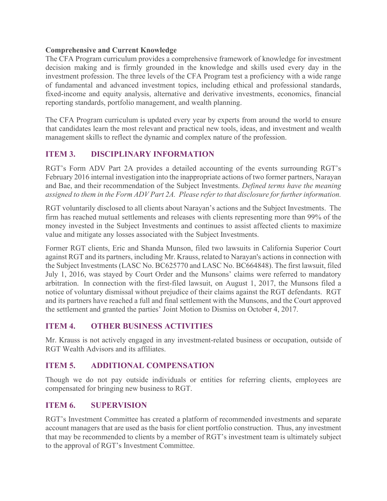#### **Comprehensive and Current Knowledge**

The CFA Program curriculum provides a comprehensive framework of knowledge for investment decision making and is firmly grounded in the knowledge and skills used every day in the investment profession. The three levels of the CFA Program test a proficiency with a wide range of fundamental and advanced investment topics, including ethical and professional standards, fixed-income and equity analysis, alternative and derivative investments, economics, financial reporting standards, portfolio management, and wealth planning.

The CFA Program curriculum is updated every year by experts from around the world to ensure that candidates learn the most relevant and practical new tools, ideas, and investment and wealth management skills to reflect the dynamic and complex nature of the profession.

## **ITEM 3. DISCIPLINARY INFORMATION**

RGT's Form ADV Part 2A provides a detailed accounting of the events surrounding RGT's February 2016 internal investigation into the inappropriate actions of two former partners, Narayan and Bae, and their recommendation of the Subject Investments. *Defined terms have the meaning assigned to them in the Form ADV Part 2A. Please refer to that disclosure for further information.*

RGT voluntarily disclosed to all clients about Narayan's actions and the Subject Investments. The firm has reached mutual settlements and releases with clients representing more than 99% of the money invested in the Subject Investments and continues to assist affected clients to maximize value and mitigate any losses associated with the Subject Investments.

Former RGT clients, Eric and Shanda Munson, filed two lawsuits in California Superior Court against RGT and its partners, including Mr. Krauss, related to Narayan's actions in connection with the Subject Investments (LASC No. BC625770 and LASC No. BC664848). The first lawsuit, filed July 1, 2016, was stayed by Court Order and the Munsons' claims were referred to mandatory arbitration. In connection with the first-filed lawsuit, on August 1, 2017, the Munsons filed a notice of voluntary dismissal without prejudice of their claims against the RGT defendants. RGT and its partners have reached a full and final settlement with the Munsons, and the Court approved the settlement and granted the parties' Joint Motion to Dismiss on October 4, 2017.

## **ITEM 4. OTHER BUSINESS ACTIVITIES**

Mr. Krauss is not actively engaged in any investment-related business or occupation, outside of RGT Wealth Advisors and its affiliates.

## **ITEM 5. ADDITIONAL COMPENSATION**

Though we do not pay outside individuals or entities for referring clients, employees are compensated for bringing new business to RGT.

## **ITEM 6. SUPERVISION**

RGT's Investment Committee has created a platform of recommended investments and separate account managers that are used as the basis for client portfolio construction. Thus, any investment that may be recommended to clients by a member of RGT's investment team is ultimately subject to the approval of RGT's Investment Committee.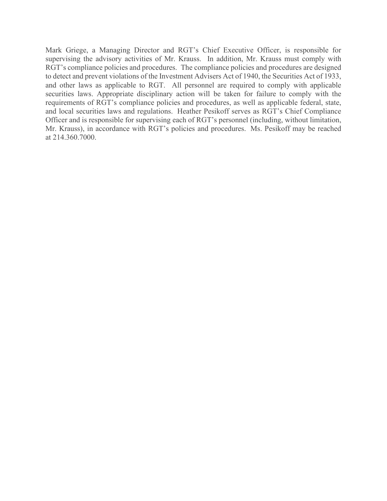Mark Griege, a Managing Director and RGT's Chief Executive Officer, is responsible for supervising the advisory activities of Mr. Krauss. In addition, Mr. Krauss must comply with RGT's compliance policies and procedures. The compliance policies and procedures are designed to detect and prevent violations of the Investment Advisers Act of 1940, the Securities Act of 1933, and other laws as applicable to RGT. All personnel are required to comply with applicable securities laws. Appropriate disciplinary action will be taken for failure to comply with the requirements of RGT's compliance policies and procedures, as well as applicable federal, state, and local securities laws and regulations. Heather Pesikoff serves as RGT's Chief Compliance Officer and is responsible for supervising each of RGT's personnel (including, without limitation, Mr. Krauss), in accordance with RGT's policies and procedures. Ms. Pesikoff may be reached at 214.360.7000.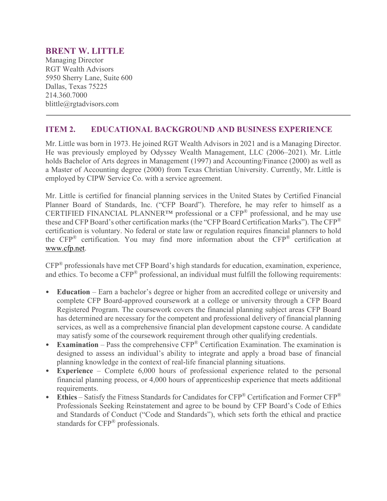#### **BRENT W. LITTLE**

Managing Director RGT Wealth Advisors 5950 Sherry Lane, Suite 600 Dallas, Texas 75225 214.360.7000 blittle@rgtadvisors.com

#### **ITEM 2. EDUCATIONAL BACKGROUND AND BUSINESS EXPERIENCE**

Mr. Little was born in 1973. He joined RGT Wealth Advisors in 2021 and is a Managing Director. He was previously employed by Odyssey Wealth Management, LLC (2006–2021). Mr. Little holds Bachelor of Arts degrees in Management (1997) and Accounting/Finance (2000) as well as a Master of Accounting degree (2000) from Texas Christian University. Currently, Mr. Little is employed by CIPW Service Co. with a service agreement.

Mr. Little is certified for financial planning services in the United States by Certified Financial Planner Board of Standards, Inc. ("CFP Board"). Therefore, he may refer to himself as a CERTIFIED FINANCIAL PLANNER™ professional or a CFP® professional, and he may use these and CFP Board's other certification marks (the "CFP Board Certification Marks"). The CFP® certification is voluntary. No federal or state law or regulation requires financial planners to hold the CFP® certification. You may find more information about the CFP® certification at [www.cfp.net.](https://protect-us.mimecast.com/s/1HBOCqxoRqf1V6k3tXIH3k?domain=nam04.safelinks.protection.outlook.com)

CFP® professionals have met CFP Board's high standards for education, examination, experience, and ethics. To become a CFP® professional, an individual must fulfill the following requirements:

- **Education** Earn a bachelor's degree or higher from an accredited college or university and complete CFP Board-approved coursework at a college or university through a CFP Board Registered Program. The coursework covers the financial planning subject areas CFP Board has determined are necessary for the competent and professional delivery of financial planning services, as well as a comprehensive financial plan development capstone course. A candidate may satisfy some of the coursework requirement through other qualifying credentials.
- **Examination** Pass the comprehensive CFP® Certification Examination. The examination is designed to assess an individual's ability to integrate and apply a broad base of financial planning knowledge in the context of real-life financial planning situations.
- **Experience**  Complete 6,000 hours of professional experience related to the personal financial planning process, or 4,000 hours of apprenticeship experience that meets additional requirements.
- **Ethics** Satisfy the Fitness Standards for Candidates for CFP® Certification and Former CFP® Professionals Seeking Reinstatement and agree to be bound by CFP Board's Code of Ethics and Standards of Conduct ("Code and Standards"), which sets forth the ethical and practice standards for CFP® professionals.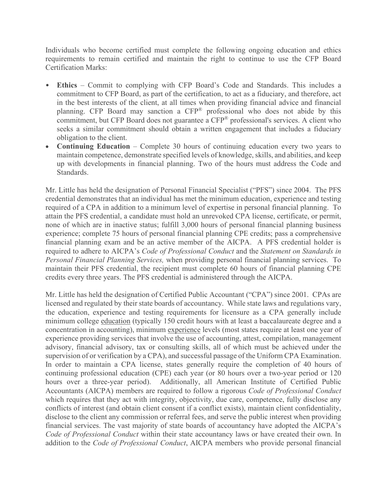Individuals who become certified must complete the following ongoing education and ethics requirements to remain certified and maintain the right to continue to use the CFP Board Certification Marks:

- **Ethics** Commit to complying with CFP Board's Code and Standards. This includes a commitment to CFP Board, as part of the certification, to act as a fiduciary, and therefore, act in the best interests of the client, at all times when providing financial advice and financial planning. CFP Board may sanction a CFP® professional who does not abide by this commitment, but CFP Board does not guarantee a CFP<sup>®</sup> professional's services. A client who seeks a similar commitment should obtain a written engagement that includes a fiduciary obligation to the client.
- **Continuing Education** Complete 30 hours of continuing education every two years to maintain competence, demonstrate specified levels of knowledge, skills, and abilities, and keep up with developments in financial planning. Two of the hours must address the Code and Standards.

Mr. Little has held the designation of Personal Financial Specialist ("PFS") since 2004. The PFS credential demonstrates that an individual has met the minimum education, experience and testing required of a CPA in addition to a minimum level of expertise in personal financial planning. To attain the PFS credential, a candidate must hold an unrevoked CPA license, certificate, or permit, none of which are in inactive status; fulfill 3,000 hours of personal financial planning business experience; complete 75 hours of personal financial planning CPE credits; pass a comprehensive financial planning exam and be an active member of the AICPA. A PFS credential holder is required to adhere to AICPA's *Code of Professional Conduct* and the *Statement on Standards in Personal Financial Planning Services,* when providing personal financial planning services. To maintain their PFS credential, the recipient must complete 60 hours of financial planning CPE credits every three years. The PFS credential is administered through the AICPA.

Mr. Little has held the designation of Certified Public Accountant ("CPA") since 2001. CPAs are licensed and regulated by their state boards of accountancy. While state laws and regulations vary, the education, experience and testing requirements for licensure as a CPA generally include minimum college [education](http://www.aicpa.org/Advocacy/State/Pages/150-HourEducationRequirement.aspx) (typically 150 credit hours with at least a baccalaureate degree and a concentration in accounting), minimum [experience](http://www.aicpa.org/Advocacy/State/Pages/ExperienceRequirement.aspx) levels (most states require at least one year of experience providing services that involve the use of accounting, attest, compilation, management advisory, financial advisory, tax or consulting skills, all of which must be achieved under the supervision of or verification by a CPA), and successful passage of the Uniform CPA Examination. In order to maintain a CPA license, states generally require the completion of 40 hours of continuing professional education (CPE) each year (or 80 hours over a two-year period or 120 hours over a three-year period). Additionally, all American Institute of Certified Public Accountants (AICPA) members are required to follow a rigorous *Code of Professional Conduct* which requires that they act with integrity, objectivity, due care, competence, fully disclose any conflicts of interest (and obtain client consent if a conflict exists), maintain client confidentiality, disclose to the client any commission or referral fees, and serve the public interest when providing financial services. The vast majority of state boards of accountancy have adopted the AICPA's *Code of Professional Conduct* within their state accountancy laws or have created their own. In addition to the *Code of Professional Conduct*, AICPA members who provide personal financial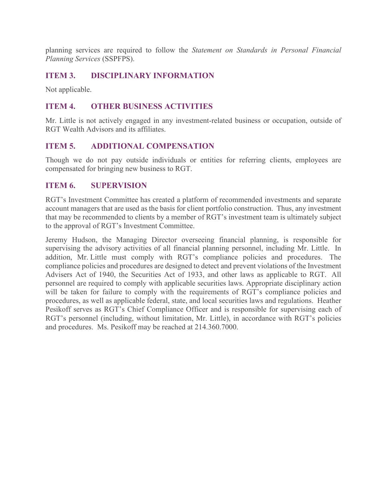planning services are required to follow the *Statement on Standards in Personal Financial Planning Services* (SSPFPS).

## **ITEM 3. DISCIPLINARY INFORMATION**

Not applicable.

#### **ITEM 4. OTHER BUSINESS ACTIVITIES**

Mr. Little is not actively engaged in any investment-related business or occupation, outside of RGT Wealth Advisors and its affiliates.

#### **ITEM 5. ADDITIONAL COMPENSATION**

Though we do not pay outside individuals or entities for referring clients, employees are compensated for bringing new business to RGT.

#### **ITEM 6. SUPERVISION**

RGT's Investment Committee has created a platform of recommended investments and separate account managers that are used as the basis for client portfolio construction. Thus, any investment that may be recommended to clients by a member of RGT's investment team is ultimately subject to the approval of RGT's Investment Committee.

Jeremy Hudson, the Managing Director overseeing financial planning, is responsible for supervising the advisory activities of all financial planning personnel, including Mr. Little. In addition, Mr. Little must comply with RGT's compliance policies and procedures. The compliance policies and procedures are designed to detect and prevent violations of the Investment Advisers Act of 1940, the Securities Act of 1933, and other laws as applicable to RGT. All personnel are required to comply with applicable securities laws. Appropriate disciplinary action will be taken for failure to comply with the requirements of RGT's compliance policies and procedures, as well as applicable federal, state, and local securities laws and regulations. Heather Pesikoff serves as RGT's Chief Compliance Officer and is responsible for supervising each of RGT's personnel (including, without limitation, Mr. Little), in accordance with RGT's policies and procedures. Ms. Pesikoff may be reached at 214.360.7000.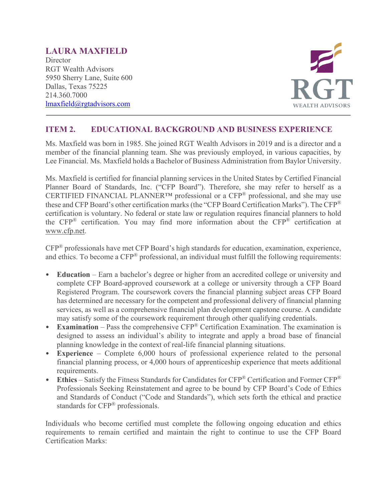# **LAURA MAXFIELD**

**Director** RGT Wealth Advisors 5950 Sherry Lane, Suite 600 Dallas, Texas 75225 214.360.7000 [lmaxfield@rgtadvisors.com](mailto:lmaxfield@rgtadvisors.com)



## **ITEM 2. EDUCATIONAL BACKGROUND AND BUSINESS EXPERIENCE**

Ms. Maxfield was born in 1985. She joined RGT Wealth Advisors in 2019 and is a director and a member of the financial planning team. She was previously employed, in various capacities, by Lee Financial. Ms. Maxfield holds a Bachelor of Business Administration from Baylor University.

Ms. Maxfield is certified for financial planning services in the United States by Certified Financial Planner Board of Standards, Inc. ("CFP Board"). Therefore, she may refer to herself as a CERTIFIED FINANCIAL PLANNER<sup>TM</sup> professional or a CFP<sup>®</sup> professional, and she may use these and CFP Board's other certification marks (the "CFP Board Certification Marks"). The CFP® certification is voluntary. No federal or state law or regulation requires financial planners to hold the  $CFP^®$  certification. You may find more information about the  $CFP^®$  certification at [www.cfp.net.](https://protect-us.mimecast.com/s/1HBOCqxoRqf1V6k3tXIH3k?domain=nam04.safelinks.protection.outlook.com)

CFP® professionals have met CFP Board's high standards for education, examination, experience, and ethics. To become a CFP® professional, an individual must fulfill the following requirements:

- **Education** Earn a bachelor's degree or higher from an accredited college or university and complete CFP Board-approved coursework at a college or university through a CFP Board Registered Program. The coursework covers the financial planning subject areas CFP Board has determined are necessary for the competent and professional delivery of financial planning services, as well as a comprehensive financial plan development capstone course. A candidate may satisfy some of the coursework requirement through other qualifying credentials.
- **Examination** Pass the comprehensive CFP® Certification Examination. The examination is designed to assess an individual's ability to integrate and apply a broad base of financial planning knowledge in the context of real-life financial planning situations.
- **Experience** Complete 6,000 hours of professional experience related to the personal financial planning process, or 4,000 hours of apprenticeship experience that meets additional requirements.
- **Ethics** Satisfy the Fitness Standards for Candidates for CFP® Certification and Former CFP® Professionals Seeking Reinstatement and agree to be bound by CFP Board's Code of Ethics and Standards of Conduct ("Code and Standards"), which sets forth the ethical and practice standards for CFP® professionals.

Individuals who become certified must complete the following ongoing education and ethics requirements to remain certified and maintain the right to continue to use the CFP Board Certification Marks: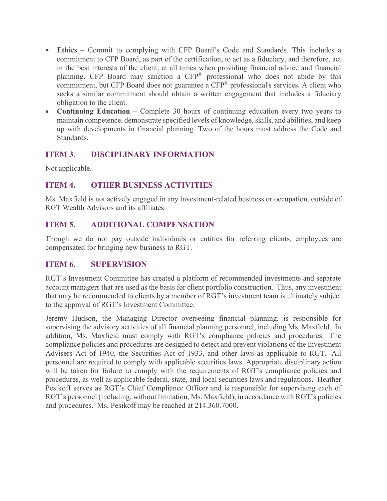- **Ethics** Commit to complying with CFP Board's Code and Standards. This includes a commitment to CFP Board, as part of the certification, to act as a fiduciary, and therefore, act in the best interests of the client, at all times when providing financial advice and financial planning. CFP Board may sanction a CFP® professional who does not abide by this commitment, but CFP Board does not guarantee a CFP® professional's services. A client who seeks a similar commitment should obtain a written engagement that includes a fiduciary obligation to the client.
- **Continuing Education** Complete 30 hours of continuing education every two years to maintain competence, demonstrate specified levels of knowledge, skills, and abilities, and keep up with developments in financial planning. Two of the hours must address the Code and Standards.

## **ITEM 3. DISCIPLINARY INFORMATION**

Not applicable.

## **ITEM 4. OTHER BUSINESS ACTIVITIES**

Ms. Maxfield is not actively engaged in any investment-related business or occupation, outside of RGT Wealth Advisors and its affiliates.

## **ITEM 5. ADDITIONAL COMPENSATION**

Though we do not pay outside individuals or entities for referring clients, employees are compensated for bringing new business to RGT.

## **ITEM 6. SUPERVISION**

RGT's Investment Committee has created a platform of recommended investments and separate account managers that are used as the basis for client portfolio construction. Thus, any investment that may be recommended to clients by a member of RGT's investment team is ultimately subject to the approval of RGT's Investment Committee.

Jeremy Hudson, the Managing Director overseeing financial planning, is responsible for supervising the advisory activities of all financial planning personnel, including Ms. Maxfield. In addition, Ms. Maxfield must comply with RGT's compliance policies and procedures. The compliance policies and procedures are designed to detect and prevent violations of the Investment Advisers Act of 1940, the Securities Act of 1933, and other laws as applicable to RGT. All personnel are required to comply with applicable securities laws. Appropriate disciplinary action will be taken for failure to comply with the requirements of RGT's compliance policies and procedures, as well as applicable federal, state, and local securities laws and regulations. Heather Pesikoff serves as RGT's Chief Compliance Officer and is responsible for supervising each of RGT's personnel (including, without limitation, Ms. Maxfield), in accordance with RGT's policies and procedures. Ms. Pesikoff may be reached at 214.360.7000.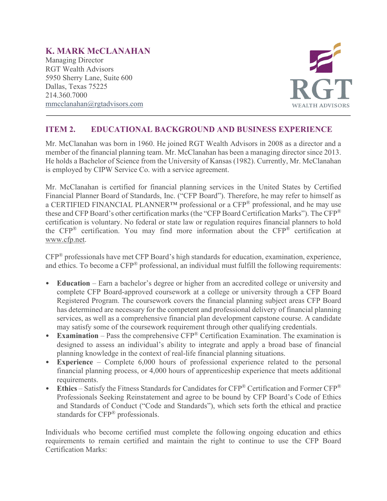# **K. MARK McCLANAHAN**

Managing Director RGT Wealth Advisors 5950 Sherry Lane, Suite 600 Dallas, Texas 75225 214.360.7000 [mmcclanahan@rgtadvisors.com](mailto:tamacher@rgtnet.com)



## **ITEM 2. EDUCATIONAL BACKGROUND AND BUSINESS EXPERIENCE**

Mr. McClanahan was born in 1960. He joined RGT Wealth Advisors in 2008 as a director and a member of the financial planning team. Mr. McClanahan has been a managing director since 2013. He holds a Bachelor of Science from the University of Kansas (1982). Currently, Mr. McClanahan is employed by CIPW Service Co. with a service agreement.

Mr. McClanahan is certified for financial planning services in the United States by Certified Financial Planner Board of Standards, Inc. ("CFP Board"). Therefore, he may refer to himself as a CERTIFIED FINANCIAL PLANNER<sup>TM</sup> professional or a CFP<sup>®</sup> professional, and he may use these and CFP Board's other certification marks (the "CFP Board Certification Marks"). The CFP® certification is voluntary. No federal or state law or regulation requires financial planners to hold the CFP® certification. You may find more information about the CFP® certification at [www.cfp.net.](https://protect-us.mimecast.com/s/1HBOCqxoRqf1V6k3tXIH3k?domain=nam04.safelinks.protection.outlook.com)

CFP® professionals have met CFP Board's high standards for education, examination, experience, and ethics. To become a CFP® professional, an individual must fulfill the following requirements:

- **Education** Earn a bachelor's degree or higher from an accredited college or university and complete CFP Board-approved coursework at a college or university through a CFP Board Registered Program. The coursework covers the financial planning subject areas CFP Board has determined are necessary for the competent and professional delivery of financial planning services, as well as a comprehensive financial plan development capstone course. A candidate may satisfy some of the coursework requirement through other qualifying credentials.
- **Examination** Pass the comprehensive CFP® Certification Examination. The examination is designed to assess an individual's ability to integrate and apply a broad base of financial planning knowledge in the context of real-life financial planning situations.
- **Experience**  Complete 6,000 hours of professional experience related to the personal financial planning process, or 4,000 hours of apprenticeship experience that meets additional requirements.
- **Ethics** Satisfy the Fitness Standards for Candidates for CFP® Certification and Former CFP® Professionals Seeking Reinstatement and agree to be bound by CFP Board's Code of Ethics and Standards of Conduct ("Code and Standards"), which sets forth the ethical and practice standards for CFP® professionals.

Individuals who become certified must complete the following ongoing education and ethics requirements to remain certified and maintain the right to continue to use the CFP Board Certification Marks: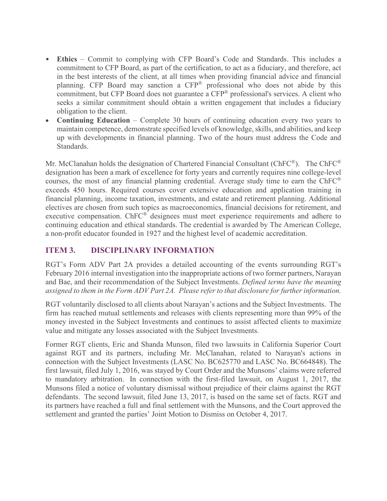- **Ethics** Commit to complying with CFP Board's Code and Standards. This includes a commitment to CFP Board, as part of the certification, to act as a fiduciary, and therefore, act in the best interests of the client, at all times when providing financial advice and financial planning. CFP Board may sanction a CFP® professional who does not abide by this commitment, but CFP Board does not guarantee a CFP® professional's services. A client who seeks a similar commitment should obtain a written engagement that includes a fiduciary obligation to the client.
- **Continuing Education** Complete 30 hours of continuing education every two years to maintain competence, demonstrate specified levels of knowledge, skills, and abilities, and keep up with developments in financial planning. Two of the hours must address the Code and Standards.

Mr. McClanahan holds the designation of Chartered Financial Consultant (ChFC®). The ChFC® designation has been a mark of excellence for forty years and currently requires nine college-level courses, the most of any financial planning credential. Average study time to earn the  $ChFC^{\mathcal{R}}$ exceeds 450 hours. Required courses cover extensive education and application training in financial planning, income taxation, investments, and estate and retirement planning. Additional electives are chosen from such topics as macroeconomics, financial decisions for retirement, and executive compensation. ChFC<sup>®</sup> designees must meet experience requirements and adhere to continuing education and ethical standards. The credential is awarded by The American College, a non-profit educator founded in 1927 and the highest level of academic accreditation.

## **ITEM 3. DISCIPLINARY INFORMATION**

RGT's Form ADV Part 2A provides a detailed accounting of the events surrounding RGT's February 2016 internal investigation into the inappropriate actions of two former partners, Narayan and Bae, and their recommendation of the Subject Investments. *Defined terms have the meaning assigned to them in the Form ADV Part 2A. Please refer to that disclosure for further information.*

RGT voluntarily disclosed to all clients about Narayan's actions and the Subject Investments. The firm has reached mutual settlements and releases with clients representing more than 99% of the money invested in the Subject Investments and continues to assist affected clients to maximize value and mitigate any losses associated with the Subject Investments.

Former RGT clients, Eric and Shanda Munson, filed two lawsuits in California Superior Court against RGT and its partners, including Mr. McClanahan, related to Narayan's actions in connection with the Subject Investments (LASC No. BC625770 and LASC No. BC664848). The first lawsuit, filed July 1, 2016, was stayed by Court Order and the Munsons' claims were referred to mandatory arbitration. In connection with the first-filed lawsuit, on August 1, 2017, the Munsons filed a notice of voluntary dismissal without prejudice of their claims against the RGT defendants. The second lawsuit, filed June 13, 2017, is based on the same set of facts. RGT and its partners have reached a full and final settlement with the Munsons, and the Court approved the settlement and granted the parties' Joint Motion to Dismiss on October 4, 2017.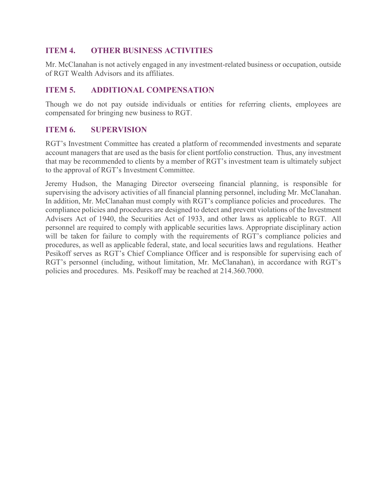## **ITEM 4. OTHER BUSINESS ACTIVITIES**

Mr. McClanahan is not actively engaged in any investment-related business or occupation, outside of RGT Wealth Advisors and its affiliates.

## **ITEM 5. ADDITIONAL COMPENSATION**

Though we do not pay outside individuals or entities for referring clients, employees are compensated for bringing new business to RGT.

## **ITEM 6. SUPERVISION**

RGT's Investment Committee has created a platform of recommended investments and separate account managers that are used as the basis for client portfolio construction. Thus, any investment that may be recommended to clients by a member of RGT's investment team is ultimately subject to the approval of RGT's Investment Committee.

Jeremy Hudson, the Managing Director overseeing financial planning, is responsible for supervising the advisory activities of all financial planning personnel, including Mr. McClanahan. In addition, Mr. McClanahan must comply with RGT's compliance policies and procedures. The compliance policies and procedures are designed to detect and prevent violations of the Investment Advisers Act of 1940, the Securities Act of 1933, and other laws as applicable to RGT. All personnel are required to comply with applicable securities laws. Appropriate disciplinary action will be taken for failure to comply with the requirements of RGT's compliance policies and procedures, as well as applicable federal, state, and local securities laws and regulations. Heather Pesikoff serves as RGT's Chief Compliance Officer and is responsible for supervising each of RGT's personnel (including, without limitation, Mr. McClanahan), in accordance with RGT's policies and procedures. Ms. Pesikoff may be reached at 214.360.7000.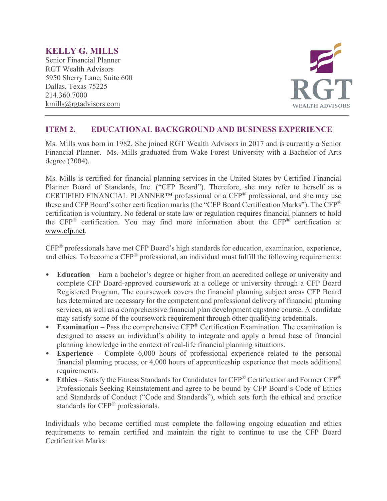## **KELLY G. MILLS**

Senior Financial Planner RGT Wealth Advisors 5950 Sherry Lane, Suite 600 Dallas, Texas 75225 214.360.7000 kmills@rgtadvisors.com



## **ITEM 2. EDUCATIONAL BACKGROUND AND BUSINESS EXPERIENCE**

Ms. Mills was born in 1982. She joined RGT Wealth Advisors in 2017 and is currently a Senior Financial Planner. Ms. Mills graduated from Wake Forest University with a Bachelor of Arts degree (2004).

Ms. Mills is certified for financial planning services in the United States by Certified Financial Planner Board of Standards, Inc. ("CFP Board"). Therefore, she may refer to herself as a CERTIFIED FINANCIAL PLANNER<sup>TM</sup> professional or a CFP<sup>®</sup> professional, and she may use these and CFP Board's other certification marks (the "CFP Board Certification Marks"). The CFP® certification is voluntary. No federal or state law or regulation requires financial planners to hold the  $CFP^®$  certification. You may find more information about the  $CFP^®$  certification at [www.cfp.net.](https://protect-us.mimecast.com/s/1HBOCqxoRqf1V6k3tXIH3k?domain=nam04.safelinks.protection.outlook.com)

CFP® professionals have met CFP Board's high standards for education, examination, experience, and ethics. To become a CFP® professional, an individual must fulfill the following requirements:

- **Education** Earn a bachelor's degree or higher from an accredited college or university and complete CFP Board-approved coursework at a college or university through a CFP Board Registered Program. The coursework covers the financial planning subject areas CFP Board has determined are necessary for the competent and professional delivery of financial planning services, as well as a comprehensive financial plan development capstone course. A candidate may satisfy some of the coursework requirement through other qualifying credentials.
- **Examination** Pass the comprehensive CFP® Certification Examination. The examination is designed to assess an individual's ability to integrate and apply a broad base of financial planning knowledge in the context of real-life financial planning situations.
- **Experience** Complete 6,000 hours of professional experience related to the personal financial planning process, or 4,000 hours of apprenticeship experience that meets additional requirements.
- **Ethics** Satisfy the Fitness Standards for Candidates for CFP® Certification and Former CFP® Professionals Seeking Reinstatement and agree to be bound by CFP Board's Code of Ethics and Standards of Conduct ("Code and Standards"), which sets forth the ethical and practice standards for CFP® professionals.

Individuals who become certified must complete the following ongoing education and ethics requirements to remain certified and maintain the right to continue to use the CFP Board Certification Marks: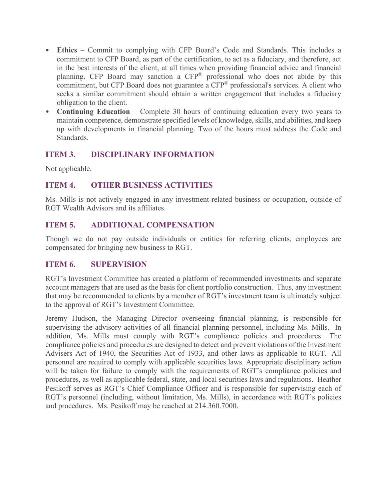- **Ethics** Commit to complying with CFP Board's Code and Standards. This includes a commitment to CFP Board, as part of the certification, to act as a fiduciary, and therefore, act in the best interests of the client, at all times when providing financial advice and financial planning. CFP Board may sanction a CFP® professional who does not abide by this commitment, but CFP Board does not guarantee a CFP® professional's services. A client who seeks a similar commitment should obtain a written engagement that includes a fiduciary obligation to the client.
- **Continuing Education** Complete 30 hours of continuing education every two years to maintain competence, demonstrate specified levels of knowledge, skills, and abilities, and keep up with developments in financial planning. Two of the hours must address the Code and Standards.

## **ITEM 3. DISCIPLINARY INFORMATION**

Not applicable.

## **ITEM 4. OTHER BUSINESS ACTIVITIES**

Ms. Mills is not actively engaged in any investment-related business or occupation, outside of RGT Wealth Advisors and its affiliates.

## **ITEM 5. ADDITIONAL COMPENSATION**

Though we do not pay outside individuals or entities for referring clients, employees are compensated for bringing new business to RGT.

## **ITEM 6. SUPERVISION**

RGT's Investment Committee has created a platform of recommended investments and separate account managers that are used as the basis for client portfolio construction. Thus, any investment that may be recommended to clients by a member of RGT's investment team is ultimately subject to the approval of RGT's Investment Committee.

Jeremy Hudson, the Managing Director overseeing financial planning, is responsible for supervising the advisory activities of all financial planning personnel, including Ms. Mills. In addition, Ms. Mills must comply with RGT's compliance policies and procedures. The compliance policies and procedures are designed to detect and prevent violations of the Investment Advisers Act of 1940, the Securities Act of 1933, and other laws as applicable to RGT. All personnel are required to comply with applicable securities laws. Appropriate disciplinary action will be taken for failure to comply with the requirements of RGT's compliance policies and procedures, as well as applicable federal, state, and local securities laws and regulations. Heather Pesikoff serves as RGT's Chief Compliance Officer and is responsible for supervising each of RGT's personnel (including, without limitation, Ms. Mills), in accordance with RGT's policies and procedures. Ms. Pesikoff may be reached at 214.360.7000.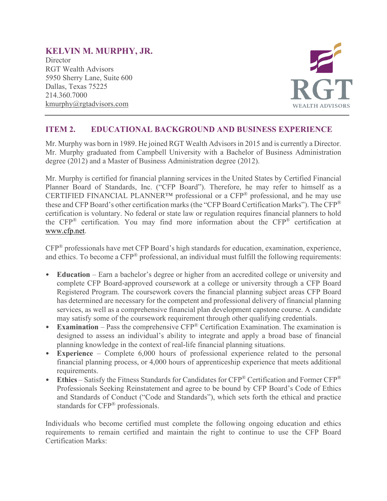# **KELVIN M. MURPHY, JR.**

**Director** RGT Wealth Advisors 5950 Sherry Lane, Suite 600 Dallas, Texas 75225 214.360.7000 kmurphy@rgtadvisors.com



## **ITEM 2. EDUCATIONAL BACKGROUND AND BUSINESS EXPERIENCE**

Mr. Murphy was born in 1989. He joined RGT Wealth Advisors in 2015 and is currently a Director. Mr. Murphy graduated from Campbell University with a Bachelor of Business Administration degree (2012) and a Master of Business Administration degree (2012).

Mr. Murphy is certified for financial planning services in the United States by Certified Financial Planner Board of Standards, Inc. ("CFP Board"). Therefore, he may refer to himself as a CERTIFIED FINANCIAL PLANNER<sup>TM</sup> professional or a CFP<sup>®</sup> professional, and he may use these and CFP Board's other certification marks (the "CFP Board Certification Marks"). The CFP® certification is voluntary. No federal or state law or regulation requires financial planners to hold the  $CFP^®$  certification. You may find more information about the  $CFP^®$  certification at [www.cfp.net.](https://protect-us.mimecast.com/s/1HBOCqxoRqf1V6k3tXIH3k?domain=nam04.safelinks.protection.outlook.com)

CFP® professionals have met CFP Board's high standards for education, examination, experience, and ethics. To become a CFP® professional, an individual must fulfill the following requirements:

- **Education** Earn a bachelor's degree or higher from an accredited college or university and complete CFP Board-approved coursework at a college or university through a CFP Board Registered Program. The coursework covers the financial planning subject areas CFP Board has determined are necessary for the competent and professional delivery of financial planning services, as well as a comprehensive financial plan development capstone course. A candidate may satisfy some of the coursework requirement through other qualifying credentials.
- **Examination** Pass the comprehensive CFP<sup>®</sup> Certification Examination. The examination is designed to assess an individual's ability to integrate and apply a broad base of financial planning knowledge in the context of real-life financial planning situations.
- **Experience** Complete 6,000 hours of professional experience related to the personal financial planning process, or 4,000 hours of apprenticeship experience that meets additional requirements.
- **Ethics** Satisfy the Fitness Standards for Candidates for CFP® Certification and Former CFP® Professionals Seeking Reinstatement and agree to be bound by CFP Board's Code of Ethics and Standards of Conduct ("Code and Standards"), which sets forth the ethical and practice standards for CFP® professionals.

Individuals who become certified must complete the following ongoing education and ethics requirements to remain certified and maintain the right to continue to use the CFP Board Certification Marks: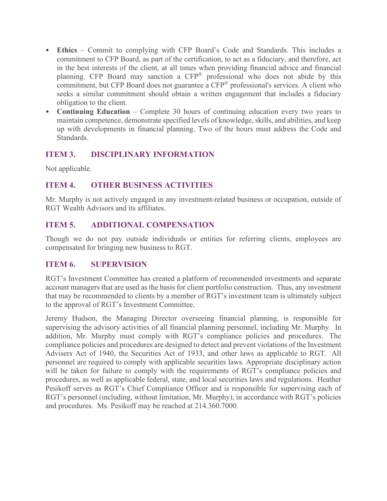- **Ethics** Commit to complying with CFP Board's Code and Standards. This includes a commitment to CFP Board, as part of the certification, to act as a fiduciary, and therefore, act in the best interests of the client, at all times when providing financial advice and financial planning. CFP Board may sanction a CFP® professional who does not abide by this commitment, but CFP Board does not guarantee a CFP® professional's services. A client who seeks a similar commitment should obtain a written engagement that includes a fiduciary obligation to the client.
- **Continuing Education** Complete 30 hours of continuing education every two years to maintain competence, demonstrate specified levels of knowledge, skills, and abilities, and keep up with developments in financial planning. Two of the hours must address the Code and Standards.

## **ITEM 3. DISCIPLINARY INFORMATION**

Not applicable.

## **ITEM 4. OTHER BUSINESS ACTIVITIES**

Mr. Murphy is not actively engaged in any investment-related business or occupation, outside of RGT Wealth Advisors and its affiliates.

## **ITEM 5. ADDITIONAL COMPENSATION**

Though we do not pay outside individuals or entities for referring clients, employees are compensated for bringing new business to RGT.

## **ITEM 6. SUPERVISION**

RGT's Investment Committee has created a platform of recommended investments and separate account managers that are used as the basis for client portfolio construction. Thus, any investment that may be recommended to clients by a member of RGT's investment team is ultimately subject to the approval of RGT's Investment Committee.

Jeremy Hudson, the Managing Director overseeing financial planning, is responsible for supervising the advisory activities of all financial planning personnel, including Mr. Murphy. In addition, Mr. Murphy must comply with RGT's compliance policies and procedures. The compliance policies and procedures are designed to detect and prevent violations of the Investment Advisers Act of 1940, the Securities Act of 1933, and other laws as applicable to RGT. All personnel are required to comply with applicable securities laws. Appropriate disciplinary action will be taken for failure to comply with the requirements of RGT's compliance policies and procedures, as well as applicable federal, state, and local securities laws and regulations. Heather Pesikoff serves as RGT's Chief Compliance Officer and is responsible for supervising each of RGT's personnel (including, without limitation, Mr. Murphy), in accordance with RGT's policies and procedures. Ms. Pesikoff may be reached at 214.360.7000.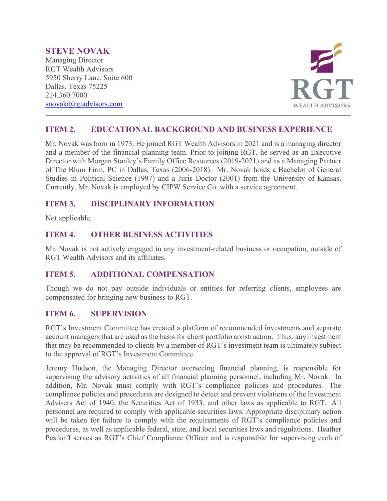#### **STEVE NOVAK**

Managing Director RGT Wealth Advisors 5950 Sherry Lane, Suite 600 Dallas, Texas 75225 214.360.7000 [snovak@rgtadvisors.com](mailto:snovak@rgtadvisors.com)



## **ITEM 2. EDUCATIONAL BACKGROUND AND BUSINESS EXPERIENCE**

Mr. Novak was born in 1973. He joined RGT Wealth Advisors in 2021 and is a managing director and a member of the financial planning team. Prior to joining RGT, he served as an Executive Director with Morgan Stanley's Family Office Resources (2019-2021) and as a Managing Partner of The Blum Firm, PC in Dallas, Texas (2006-2018). Mr. Novak holds a Bachelor of General Studies in Political Science (1997) and a Juris Doctor (2001) from the University of Kansas. Currently, Mr. Novak is employed by CIPW Service Co. with a service agreement.

## **ITEM 3. DISCIPLINARY INFORMATION**

Not applicable.

## **ITEM 4. OTHER BUSINESS ACTIVITIES**

Mr. Novak is not actively engaged in any investment-related business or occupation, outside of RGT Wealth Advisors and its affiliates.

## **ITEM 5. ADDITIONAL COMPENSATION**

Though we do not pay outside individuals or entities for referring clients, employees are compensated for bringing new business to RGT.

## **ITEM 6. SUPERVISION**

RGT's Investment Committee has created a platform of recommended investments and separate account managers that are used as the basis for client portfolio construction. Thus, any investment that may be recommended to clients by a member of RGT's investment team is ultimately subject to the approval of RGT's Investment Committee.

Jeremy Hudson, the Managing Director overseeing financial planning, is responsible for supervising the advisory activities of all financial planning personnel, including Mr. Novak. In addition, Mr. Novak must comply with RGT's compliance policies and procedures. The compliance policies and procedures are designed to detect and prevent violations of the Investment Advisers Act of 1940, the Securities Act of 1933, and other laws as applicable to RGT. All personnel are required to comply with applicable securities laws. Appropriate disciplinary action will be taken for failure to comply with the requirements of RGT's compliance policies and procedures, as well as applicable federal, state, and local securities laws and regulations. Heather Pesikoff serves as RGT's Chief Compliance Officer and is responsible for supervising each of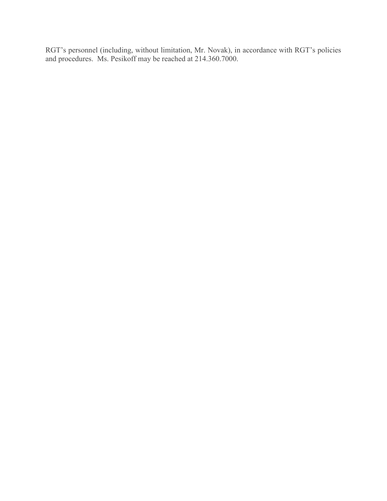RGT's personnel (including, without limitation, Mr. Novak), in accordance with RGT's policies and procedures. Ms. Pesikoff may be reached at 214.360.7000.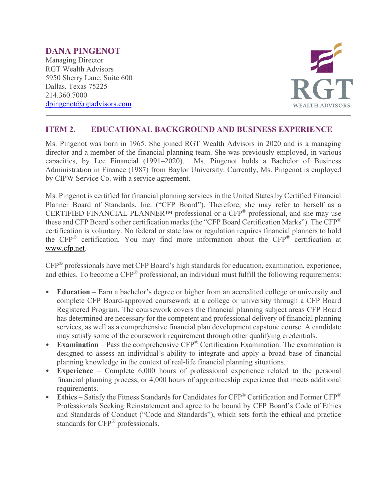#### **DANA PINGENOT** Managing Director RGT Wealth Advisors 5950 Sherry Lane, Suite 600 Dallas, Texas 75225 214.360.7000 [dpingenot@rgtadvisors.com](mailto:dpingenot@rgtadvisors.com)



## **ITEM 2. EDUCATIONAL BACKGROUND AND BUSINESS EXPERIENCE**

Ms. Pingenot was born in 1965. She joined RGT Wealth Advisors in 2020 and is a managing director and a member of the financial planning team. She was previously employed, in various capacities, by Lee Financial (1991–2020). Ms. Pingenot holds a Bachelor of Business Administration in Finance (1987) from Baylor University. Currently, Ms. Pingenot is employed by CIPW Service Co. with a service agreement.

Ms. Pingenot is certified for financial planning services in the United States by Certified Financial Planner Board of Standards, Inc. ("CFP Board"). Therefore, she may refer to herself as a CERTIFIED FINANCIAL PLANNER™ professional or a CFP® professional, and she may use these and CFP Board's other certification marks (the "CFP Board Certification Marks"). The CFP® certification is voluntary. No federal or state law or regulation requires financial planners to hold the CFP® certification. You may find more information about the CFP® certification at [www.cfp.net.](https://protect-us.mimecast.com/s/1HBOCqxoRqf1V6k3tXIH3k?domain=nam04.safelinks.protection.outlook.com)

CFP® professionals have met CFP Board's high standards for education, examination, experience, and ethics. To become a CFP® professional, an individual must fulfill the following requirements:

- **Education** Earn a bachelor's degree or higher from an accredited college or university and complete CFP Board-approved coursework at a college or university through a CFP Board Registered Program. The coursework covers the financial planning subject areas CFP Board has determined are necessary for the competent and professional delivery of financial planning services, as well as a comprehensive financial plan development capstone course. A candidate may satisfy some of the coursework requirement through other qualifying credentials.
- **Examination** Pass the comprehensive CFP® Certification Examination. The examination is designed to assess an individual's ability to integrate and apply a broad base of financial planning knowledge in the context of real-life financial planning situations.
- **Experience**  Complete 6,000 hours of professional experience related to the personal financial planning process, or 4,000 hours of apprenticeship experience that meets additional requirements.
- **Ethics** Satisfy the Fitness Standards for Candidates for CFP® Certification and Former CFP® Professionals Seeking Reinstatement and agree to be bound by CFP Board's Code of Ethics and Standards of Conduct ("Code and Standards"), which sets forth the ethical and practice standards for CFP® professionals.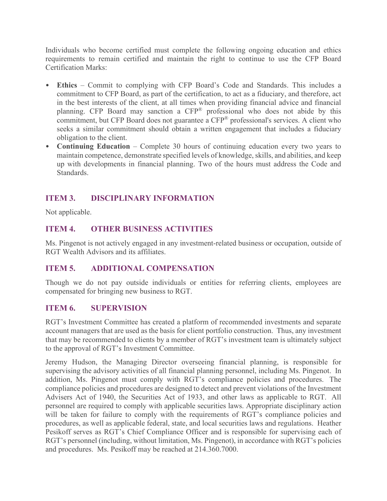Individuals who become certified must complete the following ongoing education and ethics requirements to remain certified and maintain the right to continue to use the CFP Board Certification Marks:

- **Ethics** Commit to complying with CFP Board's Code and Standards. This includes a commitment to CFP Board, as part of the certification, to act as a fiduciary, and therefore, act in the best interests of the client, at all times when providing financial advice and financial planning. CFP Board may sanction a CFP® professional who does not abide by this commitment, but CFP Board does not guarantee a CFP<sup>®</sup> professional's services. A client who seeks a similar commitment should obtain a written engagement that includes a fiduciary obligation to the client.
- **Continuing Education** Complete 30 hours of continuing education every two years to maintain competence, demonstrate specified levels of knowledge, skills, and abilities, and keep up with developments in financial planning. Two of the hours must address the Code and Standards.

# **ITEM 3. DISCIPLINARY INFORMATION**

Not applicable.

# **ITEM 4. OTHER BUSINESS ACTIVITIES**

Ms. Pingenot is not actively engaged in any investment-related business or occupation, outside of RGT Wealth Advisors and its affiliates.

## **ITEM 5. ADDITIONAL COMPENSATION**

Though we do not pay outside individuals or entities for referring clients, employees are compensated for bringing new business to RGT.

## **ITEM 6. SUPERVISION**

RGT's Investment Committee has created a platform of recommended investments and separate account managers that are used as the basis for client portfolio construction. Thus, any investment that may be recommended to clients by a member of RGT's investment team is ultimately subject to the approval of RGT's Investment Committee.

Jeremy Hudson, the Managing Director overseeing financial planning, is responsible for supervising the advisory activities of all financial planning personnel, including Ms. Pingenot. In addition, Ms. Pingenot must comply with RGT's compliance policies and procedures. The compliance policies and procedures are designed to detect and prevent violations of the Investment Advisers Act of 1940, the Securities Act of 1933, and other laws as applicable to RGT. All personnel are required to comply with applicable securities laws. Appropriate disciplinary action will be taken for failure to comply with the requirements of RGT's compliance policies and procedures, as well as applicable federal, state, and local securities laws and regulations. Heather Pesikoff serves as RGT's Chief Compliance Officer and is responsible for supervising each of RGT's personnel (including, without limitation, Ms. Pingenot), in accordance with RGT's policies and procedures. Ms. Pesikoff may be reached at 214.360.7000.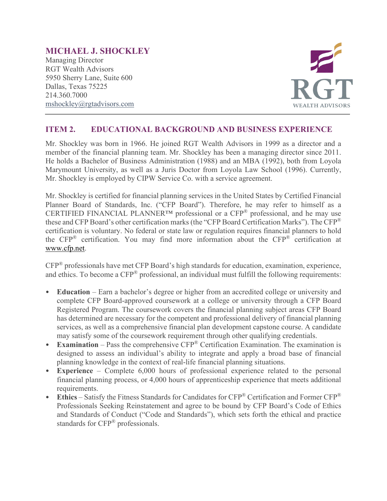# **MICHAEL J. SHOCKLEY**

Managing Director RGT Wealth Advisors 5950 Sherry Lane, Suite 600 Dallas, Texas 75225 214.360.7000 [mshockley@rgtadvisors.com](mailto:rbrizendine@rgtnet.com)



## **ITEM 2. EDUCATIONAL BACKGROUND AND BUSINESS EXPERIENCE**

Mr. Shockley was born in 1966. He joined RGT Wealth Advisors in 1999 as a director and a member of the financial planning team. Mr. Shockley has been a managing director since 2011. He holds a Bachelor of Business Administration (1988) and an MBA (1992), both from Loyola Marymount University, as well as a Juris Doctor from Loyola Law School (1996). Currently, Mr. Shockley is employed by CIPW Service Co. with a service agreement.

Mr. Shockley is certified for financial planning services in the United States by Certified Financial Planner Board of Standards, Inc. ("CFP Board"). Therefore, he may refer to himself as a CERTIFIED FINANCIAL PLANNER™ professional or a CFP® professional, and he may use these and CFP Board's other certification marks (the "CFP Board Certification Marks"). The CFP® certification is voluntary. No federal or state law or regulation requires financial planners to hold the CFP® certification. You may find more information about the CFP® certification at [www.cfp.net.](https://protect-us.mimecast.com/s/1HBOCqxoRqf1V6k3tXIH3k?domain=nam04.safelinks.protection.outlook.com)

CFP® professionals have met CFP Board's high standards for education, examination, experience, and ethics. To become a CFP® professional, an individual must fulfill the following requirements:

- **Education** Earn a bachelor's degree or higher from an accredited college or university and complete CFP Board-approved coursework at a college or university through a CFP Board Registered Program. The coursework covers the financial planning subject areas CFP Board has determined are necessary for the competent and professional delivery of financial planning services, as well as a comprehensive financial plan development capstone course. A candidate may satisfy some of the coursework requirement through other qualifying credentials.
- **Examination** Pass the comprehensive CFP® Certification Examination. The examination is designed to assess an individual's ability to integrate and apply a broad base of financial planning knowledge in the context of real-life financial planning situations.
- **Experience**  Complete 6,000 hours of professional experience related to the personal financial planning process, or 4,000 hours of apprenticeship experience that meets additional requirements.
- **Ethics** Satisfy the Fitness Standards for Candidates for CFP® Certification and Former CFP® Professionals Seeking Reinstatement and agree to be bound by CFP Board's Code of Ethics and Standards of Conduct ("Code and Standards"), which sets forth the ethical and practice standards for CFP® professionals.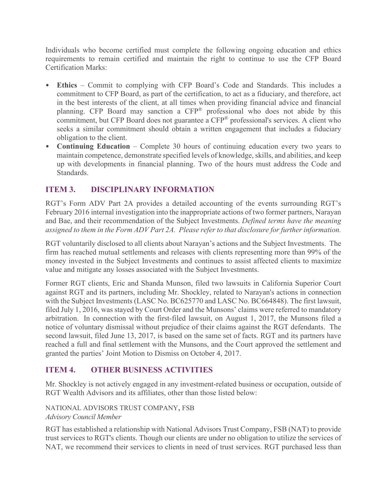Individuals who become certified must complete the following ongoing education and ethics requirements to remain certified and maintain the right to continue to use the CFP Board Certification Marks:

- **Ethics** Commit to complying with CFP Board's Code and Standards. This includes a commitment to CFP Board, as part of the certification, to act as a fiduciary, and therefore, act in the best interests of the client, at all times when providing financial advice and financial planning. CFP Board may sanction a CFP® professional who does not abide by this commitment, but CFP Board does not guarantee a CFP<sup>®</sup> professional's services. A client who seeks a similar commitment should obtain a written engagement that includes a fiduciary obligation to the client.
- **Continuing Education** Complete 30 hours of continuing education every two years to maintain competence, demonstrate specified levels of knowledge, skills, and abilities, and keep up with developments in financial planning. Two of the hours must address the Code and Standards.

# **ITEM 3. DISCIPLINARY INFORMATION**

RGT's Form ADV Part 2A provides a detailed accounting of the events surrounding RGT's February 2016 internal investigation into the inappropriate actions of two former partners, Narayan and Bae, and their recommendation of the Subject Investments. *Defined terms have the meaning assigned to them in the Form ADV Part 2A. Please refer to that disclosure for further information.*

RGT voluntarily disclosed to all clients about Narayan's actions and the Subject Investments. The firm has reached mutual settlements and releases with clients representing more than 99% of the money invested in the Subject Investments and continues to assist affected clients to maximize value and mitigate any losses associated with the Subject Investments.

Former RGT clients, Eric and Shanda Munson, filed two lawsuits in California Superior Court against RGT and its partners, including Mr. Shockley, related to Narayan's actions in connection with the Subject Investments (LASC No. BC625770 and LASC No. BC664848). The first lawsuit, filed July 1, 2016, was stayed by Court Order and the Munsons' claims were referred to mandatory arbitration. In connection with the first-filed lawsuit, on August 1, 2017, the Munsons filed a notice of voluntary dismissal without prejudice of their claims against the RGT defendants. The second lawsuit, filed June 13, 2017, is based on the same set of facts. RGT and its partners have reached a full and final settlement with the Munsons, and the Court approved the settlement and granted the parties' Joint Motion to Dismiss on October 4, 2017.

## **ITEM 4. OTHER BUSINESS ACTIVITIES**

Mr. Shockley is not actively engaged in any investment-related business or occupation, outside of RGT Wealth Advisors and its affiliates, other than those listed below:

## NATIONAL ADVISORS TRUST COMPANY, FSB

*Advisory Council Member*

RGT has established a relationship with National Advisors Trust Company, FSB (NAT) to provide trust services to RGT's clients. Though our clients are under no obligation to utilize the services of NAT, we recommend their services to clients in need of trust services. RGT purchased less than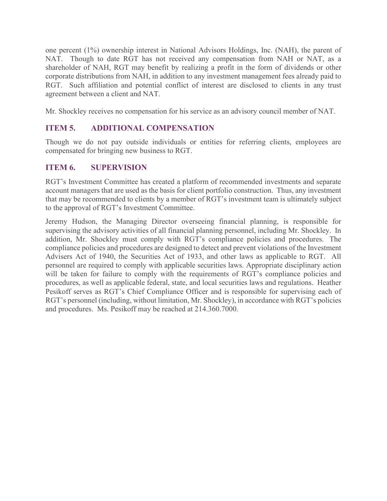one percent (1%) ownership interest in National Advisors Holdings, Inc. (NAH), the parent of NAT. Though to date RGT has not received any compensation from NAH or NAT, as a shareholder of NAH, RGT may benefit by realizing a profit in the form of dividends or other corporate distributions from NAH, in addition to any investment management fees already paid to RGT. Such affiliation and potential conflict of interest are disclosed to clients in any trust agreement between a client and NAT.

Mr. Shockley receives no compensation for his service as an advisory council member of NAT.

## **ITEM 5. ADDITIONAL COMPENSATION**

Though we do not pay outside individuals or entities for referring clients, employees are compensated for bringing new business to RGT.

#### **ITEM 6. SUPERVISION**

RGT's Investment Committee has created a platform of recommended investments and separate account managers that are used as the basis for client portfolio construction. Thus, any investment that may be recommended to clients by a member of RGT's investment team is ultimately subject to the approval of RGT's Investment Committee.

Jeremy Hudson, the Managing Director overseeing financial planning, is responsible for supervising the advisory activities of all financial planning personnel, including Mr. Shockley. In addition, Mr. Shockley must comply with RGT's compliance policies and procedures. The compliance policies and procedures are designed to detect and prevent violations of the Investment Advisers Act of 1940, the Securities Act of 1933, and other laws as applicable to RGT. All personnel are required to comply with applicable securities laws. Appropriate disciplinary action will be taken for failure to comply with the requirements of RGT's compliance policies and procedures, as well as applicable federal, state, and local securities laws and regulations. Heather Pesikoff serves as RGT's Chief Compliance Officer and is responsible for supervising each of RGT's personnel (including, without limitation, Mr. Shockley), in accordance with RGT's policies and procedures. Ms. Pesikoff may be reached at 214.360.7000.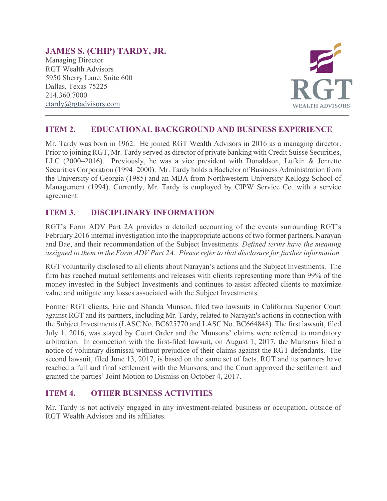# **JAMES S. (CHIP) TARDY, JR.**

Managing Director RGT Wealth Advisors 5950 Sherry Lane, Suite 600 Dallas, Texas 75225 214.360.7000 [ctardy@rgtadvisors.com](mailto:ctardy@rgtadvisors.com)



## **ITEM 2. EDUCATIONAL BACKGROUND AND BUSINESS EXPERIENCE**

Mr. Tardy was born in 1962. He joined RGT Wealth Advisors in 2016 as a managing director. Prior to joining RGT, Mr. Tardy served as director of private banking with Credit Suisse Securities, LLC (2000–2016). Previously, he was a vice president with Donaldson, Lufkin & Jenrette Securities Corporation (1994–2000). Mr. Tardy holds a Bachelor of Business Administration from the University of Georgia (1985) and an MBA from Northwestern University Kellogg School of Management (1994). Currently, Mr. Tardy is employed by CIPW Service Co. with a service agreement.

## **ITEM 3. DISCIPLINARY INFORMATION**

RGT's Form ADV Part 2A provides a detailed accounting of the events surrounding RGT's February 2016 internal investigation into the inappropriate actions of two former partners, Narayan and Bae, and their recommendation of the Subject Investments. *Defined terms have the meaning assigned to them in the Form ADV Part 2A. Please refer to that disclosure for further information.*

RGT voluntarily disclosed to all clients about Narayan's actions and the Subject Investments. The firm has reached mutual settlements and releases with clients representing more than 99% of the money invested in the Subject Investments and continues to assist affected clients to maximize value and mitigate any losses associated with the Subject Investments.

Former RGT clients, Eric and Shanda Munson, filed two lawsuits in California Superior Court against RGT and its partners, including Mr. Tardy, related to Narayan's actions in connection with the Subject Investments (LASC No. BC625770 and LASC No. BC664848). The first lawsuit, filed July 1, 2016, was stayed by Court Order and the Munsons' claims were referred to mandatory arbitration. In connection with the first-filed lawsuit, on August 1, 2017, the Munsons filed a notice of voluntary dismissal without prejudice of their claims against the RGT defendants. The second lawsuit, filed June 13, 2017, is based on the same set of facts. RGT and its partners have reached a full and final settlement with the Munsons, and the Court approved the settlement and granted the parties' Joint Motion to Dismiss on October 4, 2017.

## **ITEM 4. OTHER BUSINESS ACTIVITIES**

Mr. Tardy is not actively engaged in any investment-related business or occupation, outside of RGT Wealth Advisors and its affiliates.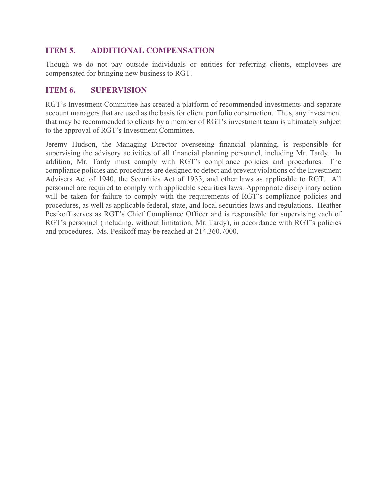## **ITEM 5. ADDITIONAL COMPENSATION**

Though we do not pay outside individuals or entities for referring clients, employees are compensated for bringing new business to RGT.

## **ITEM 6. SUPERVISION**

RGT's Investment Committee has created a platform of recommended investments and separate account managers that are used as the basis for client portfolio construction. Thus, any investment that may be recommended to clients by a member of RGT's investment team is ultimately subject to the approval of RGT's Investment Committee.

Jeremy Hudson, the Managing Director overseeing financial planning, is responsible for supervising the advisory activities of all financial planning personnel, including Mr. Tardy. In addition, Mr. Tardy must comply with RGT's compliance policies and procedures. The compliance policies and procedures are designed to detect and prevent violations of the Investment Advisers Act of 1940, the Securities Act of 1933, and other laws as applicable to RGT. All personnel are required to comply with applicable securities laws. Appropriate disciplinary action will be taken for failure to comply with the requirements of RGT's compliance policies and procedures, as well as applicable federal, state, and local securities laws and regulations. Heather Pesikoff serves as RGT's Chief Compliance Officer and is responsible for supervising each of RGT's personnel (including, without limitation, Mr. Tardy), in accordance with RGT's policies and procedures. Ms. Pesikoff may be reached at 214.360.7000.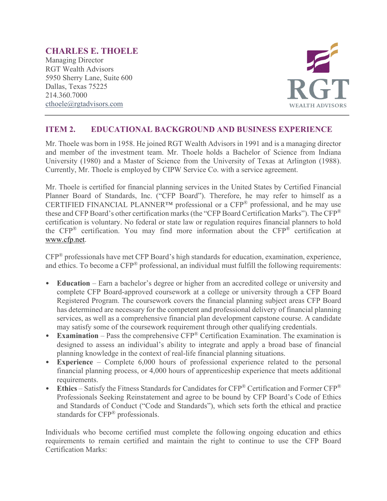# **CHARLES E. THOELE**

Managing Director RGT Wealth Advisors 5950 Sherry Lane, Suite 600 Dallas, Texas 75225 214.360.7000 [cthoele@rgtadvisors.com](mailto:rbrizendine@rgtnet.com)



## **ITEM 2. EDUCATIONAL BACKGROUND AND BUSINESS EXPERIENCE**

Mr. Thoele was born in 1958. He joined RGT Wealth Advisors in 1991 and is a managing director and member of the investment team. Mr. Thoele holds a Bachelor of Science from Indiana University (1980) and a Master of Science from the University of Texas at Arlington (1988). Currently, Mr. Thoele is employed by CIPW Service Co. with a service agreement.

Mr. Thoele is certified for financial planning services in the United States by Certified Financial Planner Board of Standards, Inc. ("CFP Board"). Therefore, he may refer to himself as a CERTIFIED FINANCIAL PLANNER™ professional or a CFP® professional, and he may use these and CFP Board's other certification marks (the "CFP Board Certification Marks"). The CFP® certification is voluntary. No federal or state law or regulation requires financial planners to hold the CFP® certification. You may find more information about the CFP® certification at [www.cfp.net.](https://protect-us.mimecast.com/s/1HBOCqxoRqf1V6k3tXIH3k?domain=nam04.safelinks.protection.outlook.com)

CFP® professionals have met CFP Board's high standards for education, examination, experience, and ethics. To become a CFP® professional, an individual must fulfill the following requirements:

- **Education** Earn a bachelor's degree or higher from an accredited college or university and complete CFP Board-approved coursework at a college or university through a CFP Board Registered Program. The coursework covers the financial planning subject areas CFP Board has determined are necessary for the competent and professional delivery of financial planning services, as well as a comprehensive financial plan development capstone course. A candidate may satisfy some of the coursework requirement through other qualifying credentials.
- **Examination** Pass the comprehensive CFP® Certification Examination. The examination is designed to assess an individual's ability to integrate and apply a broad base of financial planning knowledge in the context of real-life financial planning situations.
- **Experience**  Complete 6,000 hours of professional experience related to the personal financial planning process, or 4,000 hours of apprenticeship experience that meets additional requirements.
- **Ethics** Satisfy the Fitness Standards for Candidates for CFP® Certification and Former CFP® Professionals Seeking Reinstatement and agree to be bound by CFP Board's Code of Ethics and Standards of Conduct ("Code and Standards"), which sets forth the ethical and practice standards for CFP® professionals.

Individuals who become certified must complete the following ongoing education and ethics requirements to remain certified and maintain the right to continue to use the CFP Board Certification Marks: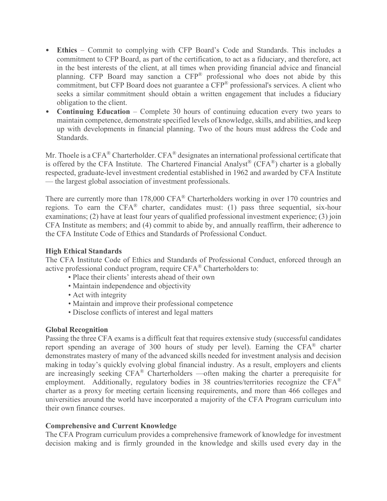- **Ethics** Commit to complying with CFP Board's Code and Standards. This includes a commitment to CFP Board, as part of the certification, to act as a fiduciary, and therefore, act in the best interests of the client, at all times when providing financial advice and financial planning. CFP Board may sanction a CFP® professional who does not abide by this commitment, but CFP Board does not guarantee a CFP® professional's services. A client who seeks a similar commitment should obtain a written engagement that includes a fiduciary obligation to the client.
- **Continuing Education** Complete 30 hours of continuing education every two years to maintain competence, demonstrate specified levels of knowledge, skills, and abilities, and keep up with developments in financial planning. Two of the hours must address the Code and Standards.

Mr. Thoele is a CFA<sup>®</sup> Charterholder. CFA<sup>®</sup> designates an international professional certificate that is offered by the CFA Institute. The Chartered Financial Analyst<sup>®</sup> (CFA<sup>®</sup>) charter is a globally respected, graduate-level investment credential established in 1962 and awarded by CFA Institute — the largest global association of investment professionals.

There are currently more than 178,000 CFA<sup>®</sup> Charterholders working in over 170 countries and regions. To earn the CFA® charter, candidates must: (1) pass three sequential, six-hour examinations; (2) have at least four years of qualified professional investment experience; (3) join CFA Institute as members; and (4) commit to abide by, and annually reaffirm, their adherence to the CFA Institute Code of Ethics and Standards of Professional Conduct.

#### **High Ethical Standards**

The CFA Institute Code of Ethics and Standards of Professional Conduct, enforced through an active professional conduct program, require CFA® Charterholders to:

- Place their clients' interests ahead of their own
- Maintain independence and objectivity
- Act with integrity
- Maintain and improve their professional competence
- Disclose conflicts of interest and legal matters

#### **Global Recognition**

Passing the three CFA exams is a difficult feat that requires extensive study (successful candidates report spending an average of 300 hours of study per level). Earning the CFA® charter demonstrates mastery of many of the advanced skills needed for investment analysis and decision making in today's quickly evolving global financial industry. As a result, employers and clients are increasingly seeking CFA® Charterholders —often making the charter a prerequisite for employment. Additionally, regulatory bodies in 38 countries/territories recognize the CFA<sup>®</sup> charter as a proxy for meeting certain licensing requirements, and more than 466 colleges and universities around the world have incorporated a majority of the CFA Program curriculum into their own finance courses.

#### **Comprehensive and Current Knowledge**

The CFA Program curriculum provides a comprehensive framework of knowledge for investment decision making and is firmly grounded in the knowledge and skills used every day in the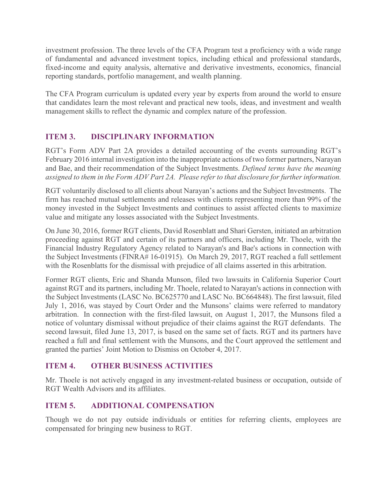investment profession. The three levels of the CFA Program test a proficiency with a wide range of fundamental and advanced investment topics, including ethical and professional standards, fixed-income and equity analysis, alternative and derivative investments, economics, financial reporting standards, portfolio management, and wealth planning.

The CFA Program curriculum is updated every year by experts from around the world to ensure that candidates learn the most relevant and practical new tools, ideas, and investment and wealth management skills to reflect the dynamic and complex nature of the profession.

# **ITEM 3. DISCIPLINARY INFORMATION**

RGT's Form ADV Part 2A provides a detailed accounting of the events surrounding RGT's February 2016 internal investigation into the inappropriate actions of two former partners, Narayan and Bae, and their recommendation of the Subject Investments. *Defined terms have the meaning assigned to them in the Form ADV Part 2A. Please refer to that disclosure for further information.*

RGT voluntarily disclosed to all clients about Narayan's actions and the Subject Investments. The firm has reached mutual settlements and releases with clients representing more than 99% of the money invested in the Subject Investments and continues to assist affected clients to maximize value and mitigate any losses associated with the Subject Investments.

On June 30, 2016, former RGT clients, David Rosenblatt and Shari Gersten, initiated an arbitration proceeding against RGT and certain of its partners and officers, including Mr. Thoele, with the Financial Industry Regulatory Agency related to Narayan's and Bae's actions in connection with the Subject Investments (FINRA# 16-01915). On March 29, 2017, RGT reached a full settlement with the Rosenblatts for the dismissal with prejudice of all claims asserted in this arbitration.

Former RGT clients, Eric and Shanda Munson, filed two lawsuits in California Superior Court against RGT and its partners, including Mr. Thoele, related to Narayan's actions in connection with the Subject Investments (LASC No. BC625770 and LASC No. BC664848). The first lawsuit, filed July 1, 2016, was stayed by Court Order and the Munsons' claims were referred to mandatory arbitration. In connection with the first-filed lawsuit, on August 1, 2017, the Munsons filed a notice of voluntary dismissal without prejudice of their claims against the RGT defendants. The second lawsuit, filed June 13, 2017, is based on the same set of facts. RGT and its partners have reached a full and final settlement with the Munsons, and the Court approved the settlement and granted the parties' Joint Motion to Dismiss on October 4, 2017.

## **ITEM 4. OTHER BUSINESS ACTIVITIES**

Mr. Thoele is not actively engaged in any investment-related business or occupation, outside of RGT Wealth Advisors and its affiliates.

## **ITEM 5. ADDITIONAL COMPENSATION**

Though we do not pay outside individuals or entities for referring clients, employees are compensated for bringing new business to RGT.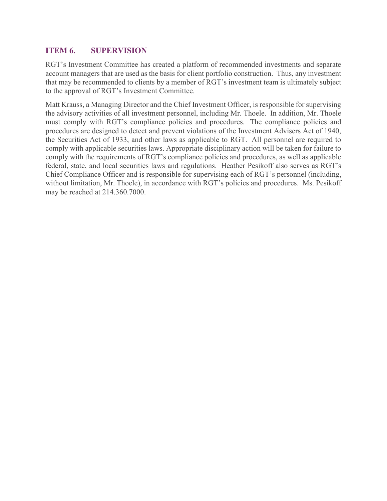## **ITEM 6. SUPERVISION**

RGT's Investment Committee has created a platform of recommended investments and separate account managers that are used as the basis for client portfolio construction. Thus, any investment that may be recommended to clients by a member of RGT's investment team is ultimately subject to the approval of RGT's Investment Committee.

Matt Krauss, a Managing Director and the Chief Investment Officer, is responsible for supervising the advisory activities of all investment personnel, including Mr. Thoele. In addition, Mr. Thoele must comply with RGT's compliance policies and procedures. The compliance policies and procedures are designed to detect and prevent violations of the Investment Advisers Act of 1940, the Securities Act of 1933, and other laws as applicable to RGT. All personnel are required to comply with applicable securities laws. Appropriate disciplinary action will be taken for failure to comply with the requirements of RGT's compliance policies and procedures, as well as applicable federal, state, and local securities laws and regulations. Heather Pesikoff also serves as RGT's Chief Compliance Officer and is responsible for supervising each of RGT's personnel (including, without limitation, Mr. Thoele), in accordance with RGT's policies and procedures. Ms. Pesikoff may be reached at 214.360.7000.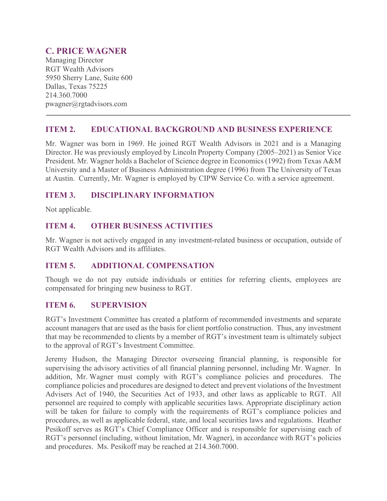# **C. PRICE WAGNER**

Managing Director RGT Wealth Advisors 5950 Sherry Lane, Suite 600 Dallas, Texas 75225 214.360.7000 pwagner@rgtadvisors.com

## **ITEM 2. EDUCATIONAL BACKGROUND AND BUSINESS EXPERIENCE**

Mr. Wagner was born in 1969. He joined RGT Wealth Advisors in 2021 and is a Managing Director. He was previously employed by Lincoln Property Company (2005–2021) as Senior Vice President. Mr. Wagner holds a Bachelor of Science degree in Economics (1992) from Texas A&M University and a Master of Business Administration degree (1996) from The University of Texas at Austin. Currently, Mr. Wagner is employed by CIPW Service Co. with a service agreement.

## **ITEM 3. DISCIPLINARY INFORMATION**

Not applicable.

## **ITEM 4. OTHER BUSINESS ACTIVITIES**

Mr. Wagner is not actively engaged in any investment-related business or occupation, outside of RGT Wealth Advisors and its affiliates.

## **ITEM 5. ADDITIONAL COMPENSATION**

Though we do not pay outside individuals or entities for referring clients, employees are compensated for bringing new business to RGT.

## **ITEM 6. SUPERVISION**

RGT's Investment Committee has created a platform of recommended investments and separate account managers that are used as the basis for client portfolio construction. Thus, any investment that may be recommended to clients by a member of RGT's investment team is ultimately subject to the approval of RGT's Investment Committee.

Jeremy Hudson, the Managing Director overseeing financial planning, is responsible for supervising the advisory activities of all financial planning personnel, including Mr. Wagner. In addition, Mr. Wagner must comply with RGT's compliance policies and procedures. The compliance policies and procedures are designed to detect and prevent violations of the Investment Advisers Act of 1940, the Securities Act of 1933, and other laws as applicable to RGT. All personnel are required to comply with applicable securities laws. Appropriate disciplinary action will be taken for failure to comply with the requirements of RGT's compliance policies and procedures, as well as applicable federal, state, and local securities laws and regulations. Heather Pesikoff serves as RGT's Chief Compliance Officer and is responsible for supervising each of RGT's personnel (including, without limitation, Mr. Wagner), in accordance with RGT's policies and procedures. Ms. Pesikoff may be reached at 214.360.7000.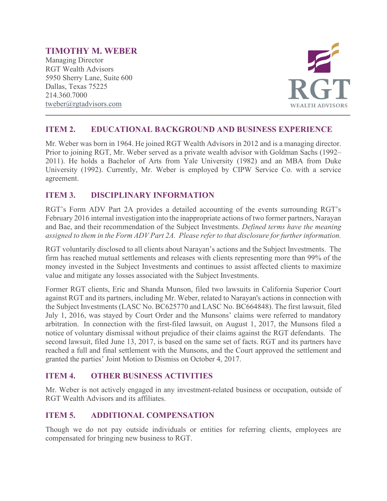# **TIMOTHY M. WEBER**

Managing Director RGT Wealth Advisors 5950 Sherry Lane, Suite 600 Dallas, Texas 75225 214.360.7000 [tweber@rgtadvisors.com](mailto:rbrizendine@rgtnet.com)



## **ITEM 2. EDUCATIONAL BACKGROUND AND BUSINESS EXPERIENCE**

Mr. Weber was born in 1964. He joined RGT Wealth Advisors in 2012 and is a managing director. Prior to joining RGT, Mr. Weber served as a private wealth advisor with Goldman Sachs (1992– 2011). He holds a Bachelor of Arts from Yale University (1982) and an MBA from Duke University (1992). Currently, Mr. Weber is employed by CIPW Service Co. with a service agreement.

## **ITEM 3. DISCIPLINARY INFORMATION**

RGT's Form ADV Part 2A provides a detailed accounting of the events surrounding RGT's February 2016 internal investigation into the inappropriate actions of two former partners, Narayan and Bae, and their recommendation of the Subject Investments. *Defined terms have the meaning assigned to them in the Form ADV Part 2A. Please refer to that disclosure for further information.*

RGT voluntarily disclosed to all clients about Narayan's actions and the Subject Investments. The firm has reached mutual settlements and releases with clients representing more than 99% of the money invested in the Subject Investments and continues to assist affected clients to maximize value and mitigate any losses associated with the Subject Investments.

Former RGT clients, Eric and Shanda Munson, filed two lawsuits in California Superior Court against RGT and its partners, including Mr. Weber, related to Narayan's actions in connection with the Subject Investments (LASC No. BC625770 and LASC No. BC664848). The first lawsuit, filed July 1, 2016, was stayed by Court Order and the Munsons' claims were referred to mandatory arbitration. In connection with the first-filed lawsuit, on August 1, 2017, the Munsons filed a notice of voluntary dismissal without prejudice of their claims against the RGT defendants. The second lawsuit, filed June 13, 2017, is based on the same set of facts. RGT and its partners have reached a full and final settlement with the Munsons, and the Court approved the settlement and granted the parties' Joint Motion to Dismiss on October 4, 2017.

## **ITEM 4. OTHER BUSINESS ACTIVITIES**

Mr. Weber is not actively engaged in any investment-related business or occupation, outside of RGT Wealth Advisors and its affiliates.

## **ITEM 5. ADDITIONAL COMPENSATION**

Though we do not pay outside individuals or entities for referring clients, employees are compensated for bringing new business to RGT.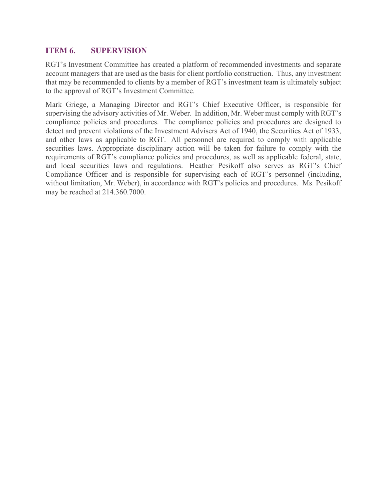## **ITEM 6. SUPERVISION**

RGT's Investment Committee has created a platform of recommended investments and separate account managers that are used as the basis for client portfolio construction. Thus, any investment that may be recommended to clients by a member of RGT's investment team is ultimately subject to the approval of RGT's Investment Committee.

Mark Griege, a Managing Director and RGT's Chief Executive Officer, is responsible for supervising the advisory activities of Mr. Weber. In addition, Mr. Weber must comply with RGT's compliance policies and procedures. The compliance policies and procedures are designed to detect and prevent violations of the Investment Advisers Act of 1940, the Securities Act of 1933, and other laws as applicable to RGT. All personnel are required to comply with applicable securities laws. Appropriate disciplinary action will be taken for failure to comply with the requirements of RGT's compliance policies and procedures, as well as applicable federal, state, and local securities laws and regulations. Heather Pesikoff also serves as RGT's Chief Compliance Officer and is responsible for supervising each of RGT's personnel (including, without limitation, Mr. Weber), in accordance with RGT's policies and procedures. Ms. Pesikoff may be reached at 214.360.7000.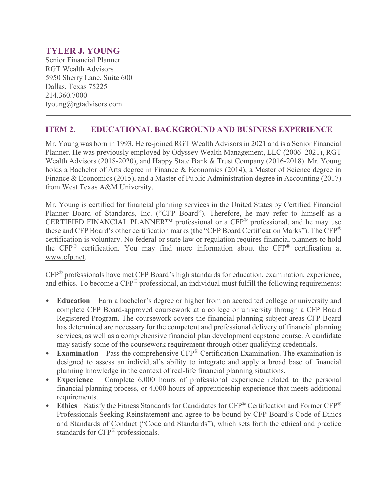# **TYLER J. YOUNG**

Senior Financial Planner RGT Wealth Advisors 5950 Sherry Lane, Suite 600 Dallas, Texas 75225 214.360.7000 tyoung@rgtadvisors.com

## **ITEM 2. EDUCATIONAL BACKGROUND AND BUSINESS EXPERIENCE**

Mr. Young was born in 1993. He re-joined RGT Wealth Advisors in 2021 and is a Senior Financial Planner. He was previously employed by Odyssey Wealth Management, LLC (2006–2021), RGT Wealth Advisors (2018-2020), and Happy State Bank & Trust Company (2016-2018). Mr. Young holds a Bachelor of Arts degree in Finance & Economics (2014), a Master of Science degree in Finance & Economics (2015), and a Master of Public Administration degree in Accounting (2017) from West Texas A&M University.

Mr. Young is certified for financial planning services in the United States by Certified Financial Planner Board of Standards, Inc. ("CFP Board"). Therefore, he may refer to himself as a CERTIFIED FINANCIAL PLANNER<sup>TM</sup> professional or a CFP<sup>®</sup> professional, and he may use these and CFP Board's other certification marks (the "CFP Board Certification Marks"). The CFP® certification is voluntary. No federal or state law or regulation requires financial planners to hold the CFP® certification. You may find more information about the CFP® certification at [www.cfp.net.](https://protect-us.mimecast.com/s/1HBOCqxoRqf1V6k3tXIH3k?domain=nam04.safelinks.protection.outlook.com)

CFP® professionals have met CFP Board's high standards for education, examination, experience, and ethics. To become a CFP® professional, an individual must fulfill the following requirements:

- **Education** Earn a bachelor's degree or higher from an accredited college or university and complete CFP Board-approved coursework at a college or university through a CFP Board Registered Program. The coursework covers the financial planning subject areas CFP Board has determined are necessary for the competent and professional delivery of financial planning services, as well as a comprehensive financial plan development capstone course. A candidate may satisfy some of the coursework requirement through other qualifying credentials.
- **Examination** Pass the comprehensive CFP<sup>®</sup> Certification Examination. The examination is designed to assess an individual's ability to integrate and apply a broad base of financial planning knowledge in the context of real-life financial planning situations.
- **Experience**  Complete 6,000 hours of professional experience related to the personal financial planning process, or 4,000 hours of apprenticeship experience that meets additional requirements.
- **Ethics** Satisfy the Fitness Standards for Candidates for CFP® Certification and Former CFP® Professionals Seeking Reinstatement and agree to be bound by CFP Board's Code of Ethics and Standards of Conduct ("Code and Standards"), which sets forth the ethical and practice standards for CFP® professionals.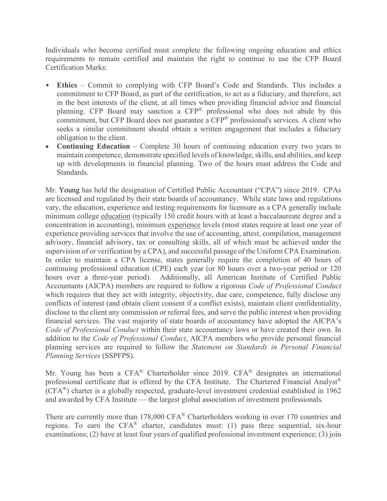Individuals who become certified must complete the following ongoing education and ethics requirements to remain certified and maintain the right to continue to use the CFP Board Certification Marks:

- **Ethics** Commit to complying with CFP Board's Code and Standards. This includes a commitment to CFP Board, as part of the certification, to act as a fiduciary, and therefore, act in the best interests of the client, at all times when providing financial advice and financial planning. CFP Board may sanction a CFP® professional who does not abide by this commitment, but CFP Board does not guarantee a CFP<sup>®</sup> professional's services. A client who seeks a similar commitment should obtain a written engagement that includes a fiduciary obligation to the client.
- **Continuing Education** Complete 30 hours of continuing education every two years to maintain competence, demonstrate specified levels of knowledge, skills, and abilities, and keep up with developments in financial planning. Two of the hours must address the Code and Standards.

Mr. Young has held the designation of Certified Public Accountant ("CPA") since 2019. CPAs are licensed and regulated by their state boards of accountancy. While state laws and regulations vary, the education, experience and testing requirements for licensure as a CPA generally include minimum college [education](http://www.aicpa.org/Advocacy/State/Pages/150-HourEducationRequirement.aspx) (typically 150 credit hours with at least a baccalaureate degree and a concentration in accounting), minimum [experience](http://www.aicpa.org/Advocacy/State/Pages/ExperienceRequirement.aspx) levels (most states require at least one year of experience providing services that involve the use of accounting, attest, compilation, management advisory, financial advisory, tax or consulting skills, all of which must be achieved under the supervision of or verification by a CPA), and successful passage of the Uniform CPA Examination. In order to maintain a CPA license, states generally require the completion of 40 hours of continuing professional education (CPE) each year (or 80 hours over a two-year period or 120 hours over a three-year period). Additionally, all American Institute of Certified Public Accountants (AICPA) members are required to follow a rigorous *Code of Professional Conduct* which requires that they act with integrity, objectivity, due care, competence, fully disclose any conflicts of interest (and obtain client consent if a conflict exists), maintain client confidentiality, disclose to the client any commission or referral fees, and serve the public interest when providing financial services. The vast majority of state boards of accountancy have adopted the AICPA's *Code of Professional Conduct* within their state accountancy laws or have created their own. In addition to the *Code of Professional Conduct*, AICPA members who provide personal financial planning services are required to follow the *Statement on Standards in Personal Financial Planning Services* (SSPFPS).

Mr. Young has been a CFA® Charterholder since 2019. CFA® designates an international professional certificate that is offered by the CFA Institute. The Chartered Financial Analyst® (CFA®) charter is a globally respected, graduate-level investment credential established in 1962 and awarded by CFA Institute — the largest global association of investment professionals.

There are currently more than 178,000 CFA® Charterholders working in over 170 countries and regions. To earn the CFA® charter, candidates must: (1) pass three sequential, six-hour examinations; (2) have at least four years of qualified professional investment experience; (3) join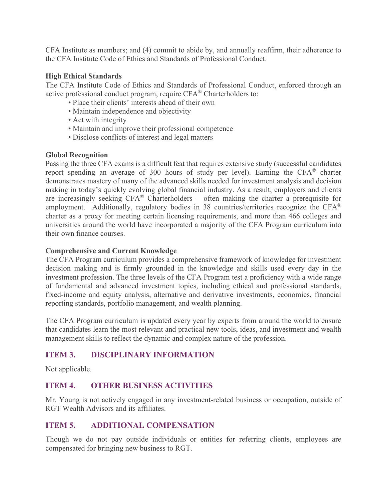CFA Institute as members; and (4) commit to abide by, and annually reaffirm, their adherence to the CFA Institute Code of Ethics and Standards of Professional Conduct.

#### **High Ethical Standards**

The CFA Institute Code of Ethics and Standards of Professional Conduct, enforced through an active professional conduct program, require CFA® Charterholders to:

- Place their clients' interests ahead of their own
- Maintain independence and objectivity
- Act with integrity
- Maintain and improve their professional competence
- Disclose conflicts of interest and legal matters

#### **Global Recognition**

Passing the three CFA exams is a difficult feat that requires extensive study (successful candidates report spending an average of 300 hours of study per level). Earning the CFA® charter demonstrates mastery of many of the advanced skills needed for investment analysis and decision making in today's quickly evolving global financial industry. As a result, employers and clients are increasingly seeking CFA® Charterholders —often making the charter a prerequisite for employment. Additionally, regulatory bodies in 38 countries/territories recognize the CFA<sup>®</sup> charter as a proxy for meeting certain licensing requirements, and more than 466 colleges and universities around the world have incorporated a majority of the CFA Program curriculum into their own finance courses.

#### **Comprehensive and Current Knowledge**

The CFA Program curriculum provides a comprehensive framework of knowledge for investment decision making and is firmly grounded in the knowledge and skills used every day in the investment profession. The three levels of the CFA Program test a proficiency with a wide range of fundamental and advanced investment topics, including ethical and professional standards, fixed-income and equity analysis, alternative and derivative investments, economics, financial reporting standards, portfolio management, and wealth planning.

The CFA Program curriculum is updated every year by experts from around the world to ensure that candidates learn the most relevant and practical new tools, ideas, and investment and wealth management skills to reflect the dynamic and complex nature of the profession.

## **ITEM 3. DISCIPLINARY INFORMATION**

Not applicable.

## **ITEM 4. OTHER BUSINESS ACTIVITIES**

Mr. Young is not actively engaged in any investment-related business or occupation, outside of RGT Wealth Advisors and its affiliates.

## **ITEM 5. ADDITIONAL COMPENSATION**

Though we do not pay outside individuals or entities for referring clients, employees are compensated for bringing new business to RGT.